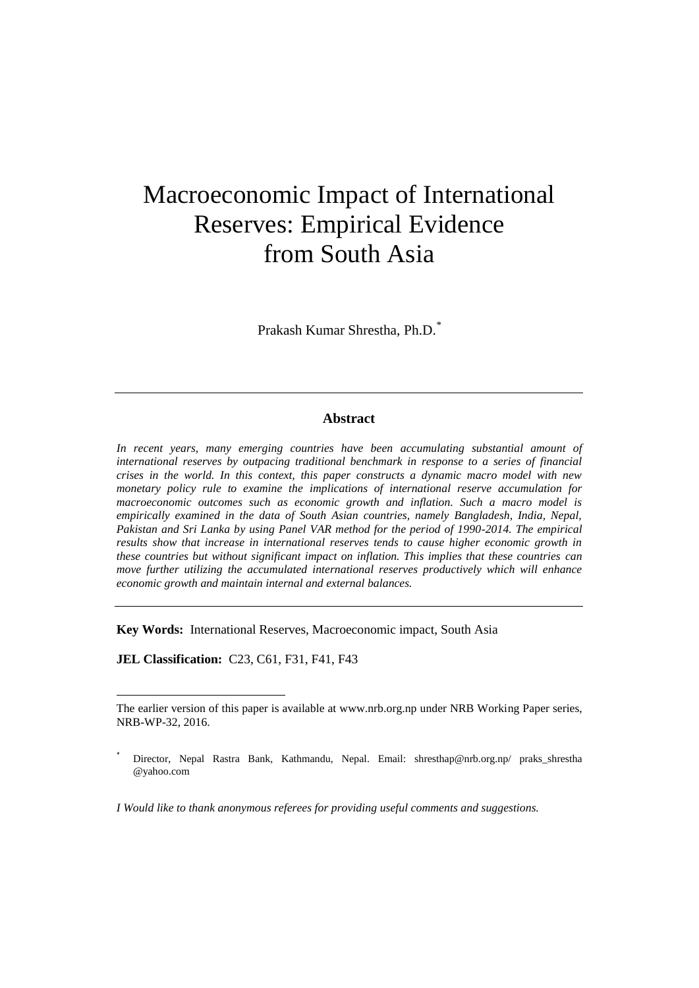# Macroeconomic Impact of International Reserves: Empirical Evidence from South Asia

Prakash Kumar Shrestha, Ph.D. *\**

# **Abstract**

In recent years, many emerging countries have been accumulating substantial amount of *international reserves by outpacing traditional benchmark in response to a series of financial crises in the world. In this context, this paper constructs a dynamic macro model with new monetary policy rule to examine the implications of international reserve accumulation for macroeconomic outcomes such as economic growth and inflation. Such a macro model is empirically examined in the data of South Asian countries, namely Bangladesh, India, Nepal, Pakistan and Sri Lanka by using Panel VAR method for the period of 1990-2014. The empirical results show that increase in international reserves tends to cause higher economic growth in these countries but without significant impact on inflation. This implies that these countries can move further utilizing the accumulated international reserves productively which will enhance economic growth and maintain internal and external balances.*

**Key Words:** International Reserves, Macroeconomic impact, South Asia

**JEL Classification:** C23, C61, F31, F41, F43

 $\ddot{\phantom{a}}$ 

*I Would like to thank anonymous referees for providing useful comments and suggestions.*

The earlier version of this paper is available at www.nrb.org.np under NRB Working Paper series, NRB-WP-32, 2016.

Director, Nepal Rastra Bank, Kathmandu, Nepal. Email: shresthap@nrb.org.np/ praks\_shrestha @yahoo.com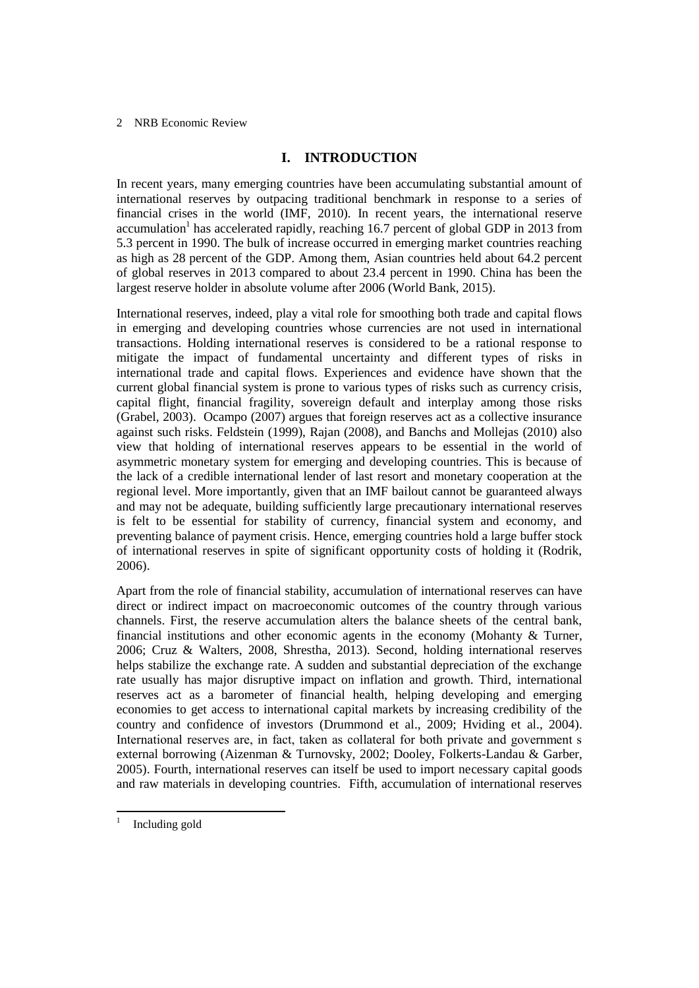# **I. INTRODUCTION**

In recent years, many emerging countries have been accumulating substantial amount of international reserves by outpacing traditional benchmark in response to a series of financial crises in the world (IMF, 2010)*.* In recent years, the international reserve accumulation<sup>1</sup> has accelerated rapidly, reaching 16.7 percent of global GDP in 2013 from 5.3 percent in 1990. The bulk of increase occurred in emerging market countries reaching as high as 28 percent of the GDP. Among them, Asian countries held about 64.2 percent of global reserves in 2013 compared to about 23.4 percent in 1990. China has been the largest reserve holder in absolute volume after 2006 (World Bank, 2015).

International reserves, indeed, play a vital role for smoothing both trade and capital flows in emerging and developing countries whose currencies are not used in international transactions. Holding international reserves is considered to be a rational response to mitigate the impact of fundamental uncertainty and different types of risks in international trade and capital flows. Experiences and evidence have shown that the current global financial system is prone to various types of risks such as currency crisis, capital flight, financial fragility, sovereign default and interplay among those risks (Grabel, 2003). Ocampo (2007) argues that foreign reserves act as a collective insurance against such risks. Feldstein (1999), Rajan (2008), and Banchs and Mollejas (2010) also view that holding of international reserves appears to be essential in the world of asymmetric monetary system for emerging and developing countries. This is because of the lack of a credible international lender of last resort and monetary cooperation at the regional level. More importantly, given that an IMF bailout cannot be guaranteed always and may not be adequate, building sufficiently large precautionary international reserves is felt to be essential for stability of currency, financial system and economy, and preventing balance of payment crisis. Hence, emerging countries hold a large buffer stock of international reserves in spite of significant opportunity costs of holding it (Rodrik, 2006).

Apart from the role of financial stability, accumulation of international reserves can have direct or indirect impact on macroeconomic outcomes of the country through various channels. First, the reserve accumulation alters the balance sheets of the central bank, financial institutions and other economic agents in the economy (Mohanty  $\&$  Turner, 2006; Cruz & Walters, 2008, Shrestha, 2013). Second, holding international reserves helps stabilize the exchange rate. A sudden and substantial depreciation of the exchange rate usually has major disruptive impact on inflation and growth. Third, international reserves act as a barometer of financial health, helping developing and emerging economies to get access to international capital markets by increasing credibility of the country and confidence of investors (Drummond et al., 2009; Hviding et al., 2004). International reserves are, in fact, taken as collateral for both private and government s external borrowing (Aizenman & Turnovsky, 2002; Dooley, Folkerts-Landau & Garber, 2005). Fourth, international reserves can itself be used to import necessary capital goods and raw materials in developing countries. Fifth, accumulation of international reserves

 $\overline{a}$ 1

Including gold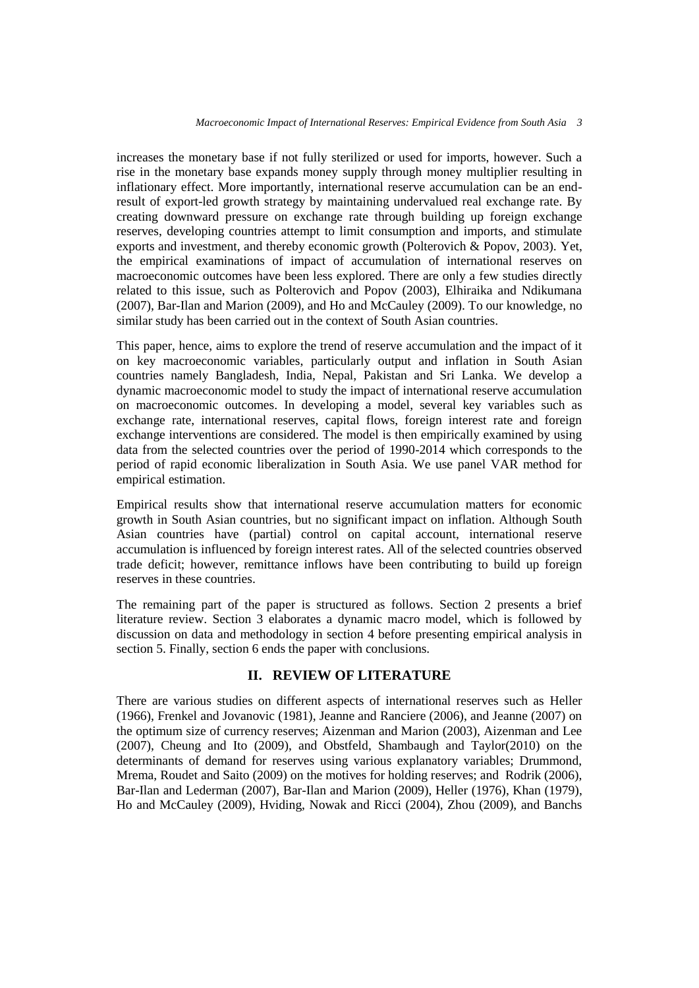increases the monetary base if not fully sterilized or used for imports, however. Such a rise in the monetary base expands money supply through money multiplier resulting in inflationary effect. More importantly, international reserve accumulation can be an endresult of export-led growth strategy by maintaining undervalued real exchange rate. By creating downward pressure on exchange rate through building up foreign exchange reserves, developing countries attempt to limit consumption and imports, and stimulate exports and investment, and thereby economic growth (Polterovich & Popov, 2003). Yet, the empirical examinations of impact of accumulation of international reserves on macroeconomic outcomes have been less explored. There are only a few studies directly related to this issue, such as Polterovich and Popov (2003), Elhiraika and Ndikumana (2007), Bar-Ilan and Marion (2009), and Ho and McCauley (2009). To our knowledge, no similar study has been carried out in the context of South Asian countries.

This paper, hence, aims to explore the trend of reserve accumulation and the impact of it on key macroeconomic variables, particularly output and inflation in South Asian countries namely Bangladesh, India, Nepal, Pakistan and Sri Lanka. We develop a dynamic macroeconomic model to study the impact of international reserve accumulation on macroeconomic outcomes. In developing a model, several key variables such as exchange rate, international reserves, capital flows, foreign interest rate and foreign exchange interventions are considered. The model is then empirically examined by using data from the selected countries over the period of 1990-2014 which corresponds to the period of rapid economic liberalization in South Asia. We use panel VAR method for empirical estimation.

Empirical results show that international reserve accumulation matters for economic growth in South Asian countries, but no significant impact on inflation. Although South Asian countries have (partial) control on capital account, international reserve accumulation is influenced by foreign interest rates. All of the selected countries observed trade deficit; however, remittance inflows have been contributing to build up foreign reserves in these countries.

The remaining part of the paper is structured as follows. Section 2 presents a brief literature review. Section 3 elaborates a dynamic macro model, which is followed by discussion on data and methodology in section 4 before presenting empirical analysis in section 5. Finally, section 6 ends the paper with conclusions.

# **II. REVIEW OF LITERATURE**

There are various studies on different aspects of international reserves such as Heller (1966), Frenkel and Jovanovic (1981), Jeanne and Ranciere (2006), and Jeanne (2007) on the optimum size of currency reserves; Aizenman and Marion (2003), Aizenman and Lee (2007), Cheung and Ito (2009), and Obstfeld, Shambaugh and Taylor(2010) on the determinants of demand for reserves using various explanatory variables; Drummond, Mrema, Roudet and Saito (2009) on the motives for holding reserves; and Rodrik (2006), Bar-Ilan and Lederman (2007), Bar-Ilan and Marion (2009), Heller (1976), Khan (1979), Ho and McCauley (2009), Hviding, Nowak and Ricci (2004), Zhou (2009), and Banchs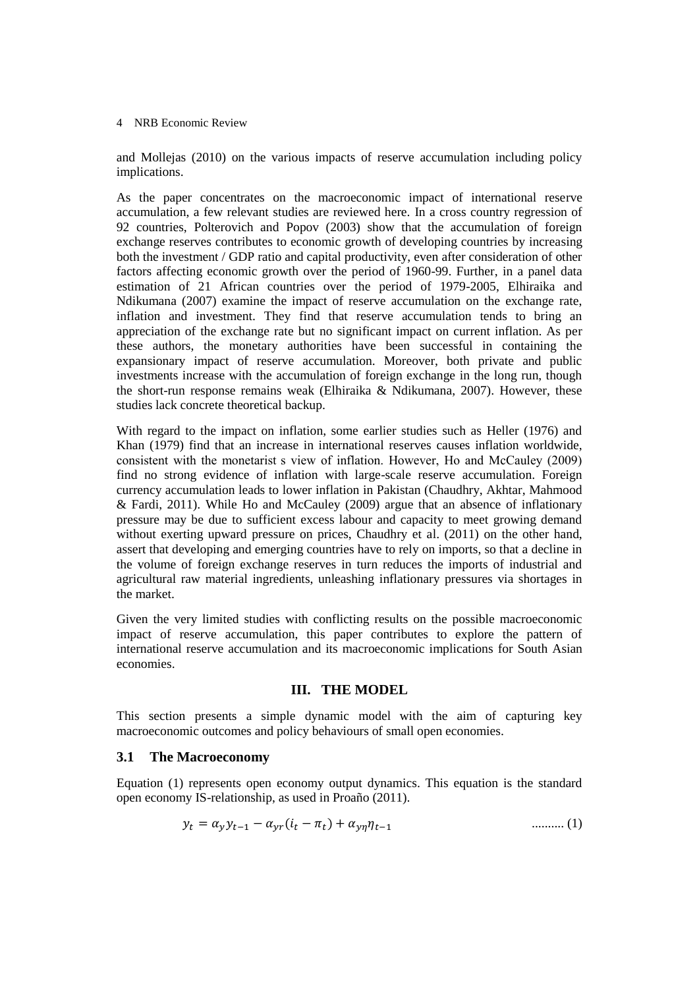and Mollejas (2010) on the various impacts of reserve accumulation including policy implications.

As the paper concentrates on the macroeconomic impact of international reserve accumulation, a few relevant studies are reviewed here. In a cross country regression of 92 countries, Polterovich and Popov (2003) show that the accumulation of foreign exchange reserves contributes to economic growth of developing countries by increasing both the investment / GDP ratio and capital productivity, even after consideration of other factors affecting economic growth over the period of 1960-99. Further, in a panel data estimation of 21 African countries over the period of 1979-2005, Elhiraika and Ndikumana (2007) examine the impact of reserve accumulation on the exchange rate, inflation and investment. They find that reserve accumulation tends to bring an appreciation of the exchange rate but no significant impact on current inflation. As per these authors, the monetary authorities have been successful in containing the expansionary impact of reserve accumulation. Moreover, both private and public investments increase with the accumulation of foreign exchange in the long run, though the short-run response remains weak (Elhiraika & Ndikumana, 2007). However, these studies lack concrete theoretical backup.

With regard to the impact on inflation, some earlier studies such as Heller (1976) and Khan (1979) find that an increase in international reserves causes inflation worldwide, consistent with the monetarist s view of inflation. However, Ho and McCauley (2009) find no strong evidence of inflation with large-scale reserve accumulation. Foreign currency accumulation leads to lower inflation in Pakistan (Chaudhry, Akhtar, Mahmood & Fardi, 2011). While Ho and McCauley (2009) argue that an absence of inflationary pressure may be due to sufficient excess labour and capacity to meet growing demand without exerting upward pressure on prices, Chaudhry et al. (2011) on the other hand, assert that developing and emerging countries have to rely on imports, so that a decline in the volume of foreign exchange reserves in turn reduces the imports of industrial and agricultural raw material ingredients, unleashing inflationary pressures via shortages in the market.

Given the very limited studies with conflicting results on the possible macroeconomic impact of reserve accumulation, this paper contributes to explore the pattern of international reserve accumulation and its macroeconomic implications for South Asian economies.

# **III. THE MODEL**

This section presents a simple dynamic model with the aim of capturing key macroeconomic outcomes and policy behaviours of small open economies.

# **3.1 The Macroeconomy**

Equation (1) represents open economy output dynamics. This equation is the standard open economy IS-relationship, as used in Proaño (2011).

$$
y_t = \alpha_y y_{t-1} - \alpha_{yr} (i_t - \pi_t) + \alpha_{yn} \eta_{t-1}
$$
 (1)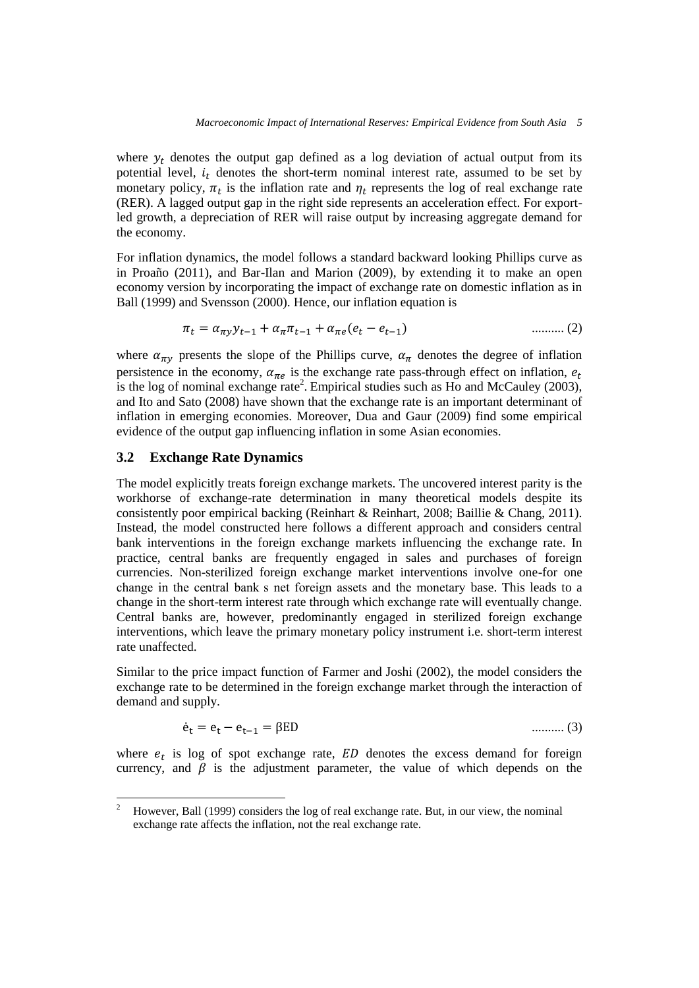where  $y_t$  denotes the output gap defined as a log deviation of actual output from its potential level,  $i_t$  denotes the short-term nominal interest rate, assumed to be set by monetary policy,  $\pi_t$  is the inflation rate and  $\eta_t$  represents the log of real exchange rate (RER). A lagged output gap in the right side represents an acceleration effect. For exportled growth, a depreciation of RER will raise output by increasing aggregate demand for the economy.

For inflation dynamics, the model follows a standard backward looking Phillips curve as in Proaño (2011), and Bar-Ilan and Marion (2009), by extending it to make an open economy version by incorporating the impact of exchange rate on domestic inflation as in Ball (1999) and Svensson (2000). Hence, our inflation equation is

$$
\pi_t = \alpha_{\pi y} y_{t-1} + \alpha_{\pi} \pi_{t-1} + \alpha_{\pi e} (e_t - e_{t-1}) \tag{2}
$$

where  $\alpha_{\pi\nu}$  presents the slope of the Phillips curve,  $\alpha_{\pi}$  denotes the degree of inflation persistence in the economy,  $\alpha_{\pi e}$  is the exchange rate pass-through effect on inflation,  $e_t$ is the log of nominal exchange rate<sup>2</sup>. Empirical studies such as Ho and McCauley (2003), and Ito and Sato (2008) have shown that the exchange rate is an important determinant of inflation in emerging economies. Moreover, Dua and Gaur (2009) find some empirical evidence of the output gap influencing inflation in some Asian economies.

# **3.2 Exchange Rate Dynamics**

The model explicitly treats foreign exchange markets. The uncovered interest parity is the workhorse of exchange-rate determination in many theoretical models despite its consistently poor empirical backing (Reinhart & Reinhart, 2008; Baillie & Chang, 2011). Instead, the model constructed here follows a different approach and considers central bank interventions in the foreign exchange markets influencing the exchange rate. In practice, central banks are frequently engaged in sales and purchases of foreign currencies. Non-sterilized foreign exchange market interventions involve one-for one change in the central bank s net foreign assets and the monetary base. This leads to a change in the short-term interest rate through which exchange rate will eventually change. Central banks are, however, predominantly engaged in sterilized foreign exchange interventions, which leave the primary monetary policy instrument i.e. short-term interest rate unaffected.

Similar to the price impact function of Farmer and Joshi (2002), the model considers the exchange rate to be determined in the foreign exchange market through the interaction of demand and supply.

$$
\dot{e}_t = e_t - e_{t-1} = \beta ED \tag{3}
$$

where  $e_t$  is log of spot exchange rate,  $ED$  denotes the excess demand for foreign currency, and  $\beta$  is the adjustment parameter, the value of which depends on the

 $\overline{c}$ <sup>2</sup> However, Ball (1999) considers the log of real exchange rate. But, in our view, the nominal exchange rate affects the inflation, not the real exchange rate.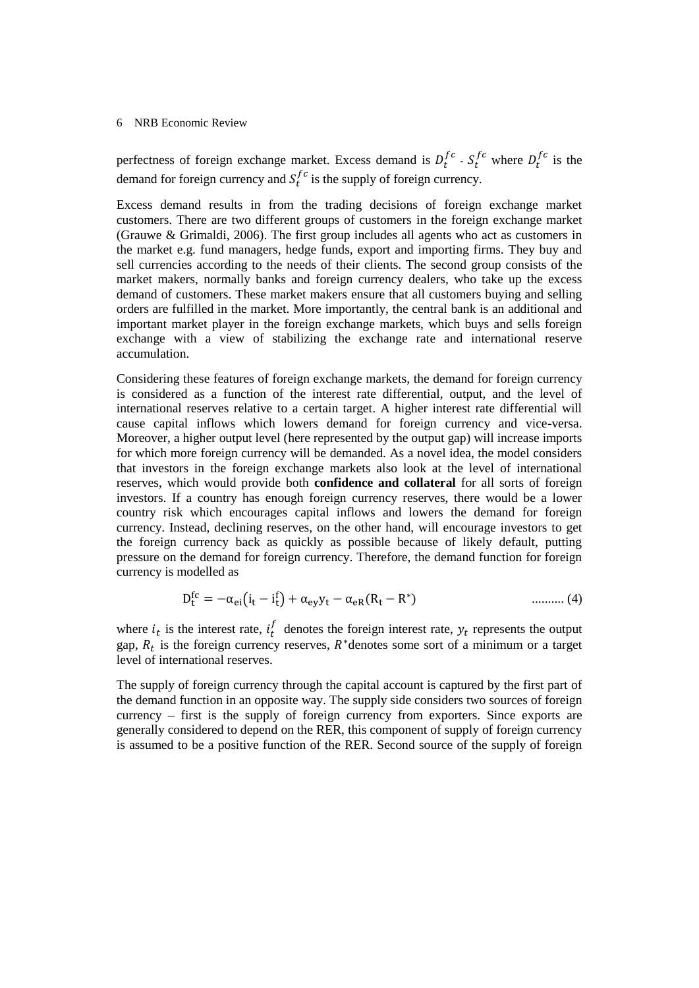perfectness of foreign exchange market. Excess demand is  $D_t^{fc}$  -  $S_t^{fc}$  where  $D_t^{fc}$  is the demand for foreign currency and  $S_t^{fc}$  is the supply of foreign currency.

Excess demand results in from the trading decisions of foreign exchange market customers. There are two different groups of customers in the foreign exchange market (Grauwe & Grimaldi, 2006). The first group includes all agents who act as customers in the market e.g. fund managers, hedge funds, export and importing firms. They buy and sell currencies according to the needs of their clients. The second group consists of the market makers, normally banks and foreign currency dealers, who take up the excess demand of customers. These market makers ensure that all customers buying and selling orders are fulfilled in the market. More importantly, the central bank is an additional and important market player in the foreign exchange markets, which buys and sells foreign exchange with a view of stabilizing the exchange rate and international reserve accumulation.

Considering these features of foreign exchange markets, the demand for foreign currency is considered as a function of the interest rate differential, output, and the level of international reserves relative to a certain target. A higher interest rate differential will cause capital inflows which lowers demand for foreign currency and vice-versa. Moreover, a higher output level (here represented by the output gap) will increase imports for which more foreign currency will be demanded. As a novel idea, the model considers that investors in the foreign exchange markets also look at the level of international reserves, which would provide both **confidence and collateral** for all sorts of foreign investors. If a country has enough foreign currency reserves, there would be a lower country risk which encourages capital inflows and lowers the demand for foreign currency. Instead, declining reserves, on the other hand, will encourage investors to get the foreign currency back as quickly as possible because of likely default, putting pressure on the demand for foreign currency. Therefore, the demand function for foreign currency is modelled as

$$
D_t^{fc} = -\alpha_{ei}(i_t - i_t^f) + \alpha_{ey}y_t - \alpha_{eR}(R_t - R^*)
$$
\n
$$
\qquad \qquad (4)
$$

where  $i_t$  is the interest rate,  $i_t$  $\boldsymbol{f}_{t}$  denotes the foreign interest rate,  $\boldsymbol{y}_{t}$  represents the output gap,  $R_t$  is the foreign currency reserves,  $R^*$ denotes some sort of a minimum or a target level of international reserves.

The supply of foreign currency through the capital account is captured by the first part of the demand function in an opposite way. The supply side considers two sources of foreign currency – first is the supply of foreign currency from exporters. Since exports are generally considered to depend on the RER, this component of supply of foreign currency is assumed to be a positive function of the RER. Second source of the supply of foreign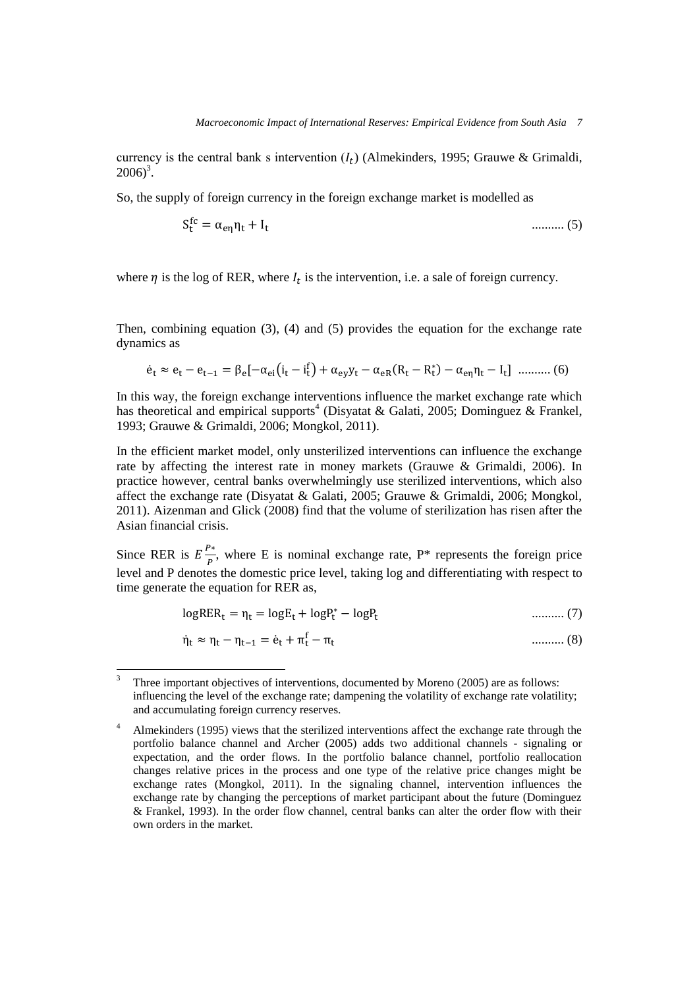currency is the central bank s intervention  $(I_t)$  (Almekinders, 1995; Grauwe & Grimaldi,  $2006)^3$ .

So, the supply of foreign currency in the foreign exchange market is modelled as

$$
S_t^{fc} = \alpha_{en} \eta_t + I_t \tag{5}
$$

where  $\eta$  is the log of RER, where  $I_t$  is the intervention, i.e. a sale of foreign currency.

Then, combining equation (3), (4) and (5) provides the equation for the exchange rate dynamics as

$$
\dot{e}_t \approx e_t - e_{t-1} = \beta_e[-\alpha_{ei}(i_t - i_t^f) + \alpha_{ey}y_t - \alpha_{eR}(R_t - R_t^*) - \alpha_{e\eta}\eta_t - I_t] \ \dots \dots \dots (6)
$$

In this way, the foreign exchange interventions influence the market exchange rate which has theoretical and empirical supports<sup>4</sup> (Disyatat & Galati, 2005; Dominguez & Frankel, 1993; Grauwe & Grimaldi, 2006; Mongkol, 2011).

In the efficient market model, only unsterilized interventions can influence the exchange rate by affecting the interest rate in money markets (Grauwe & Grimaldi, 2006). In practice however, central banks overwhelmingly use sterilized interventions, which also affect the exchange rate (Disyatat & Galati, 2005; Grauwe & Grimaldi, 2006; Mongkol, 2011). Aizenman and Glick (2008) find that the volume of sterilization has risen after the Asian financial crisis.

Since RER is  $E\frac{P}{I}$  $\frac{f^*}{P}$ , where E is nominal exchange rate, P<sup>\*</sup> represents the foreign price level and P denotes the domestic price level, taking log and differentiating with respect to time generate the equation for RER as,

$$
logRER_t = \eta_t = logE_t + logP_t^* - logP_t
$$
 ......... (7)

$$
\dot{\eta}_t \approx \eta_t - \eta_{t-1} = \dot{e}_t + \pi_t^f - \pi_t \tag{8}
$$

 $\ddot{\phantom{a}}$ <sup>3</sup> Three important objectives of interventions, documented by Moreno (2005) are as follows: influencing the level of the exchange rate; dampening the volatility of exchange rate volatility; and accumulating foreign currency reserves.

<sup>&</sup>lt;sup>4</sup> Almekinders (1995) views that the sterilized interventions affect the exchange rate through the portfolio balance channel and Archer (2005) adds two additional channels - signaling or expectation, and the order flows. In the portfolio balance channel, portfolio reallocation changes relative prices in the process and one type of the relative price changes might be exchange rates (Mongkol, 2011). In the signaling channel, intervention influences the exchange rate by changing the perceptions of market participant about the future (Dominguez & Frankel, 1993). In the order flow channel, central banks can alter the order flow with their own orders in the market.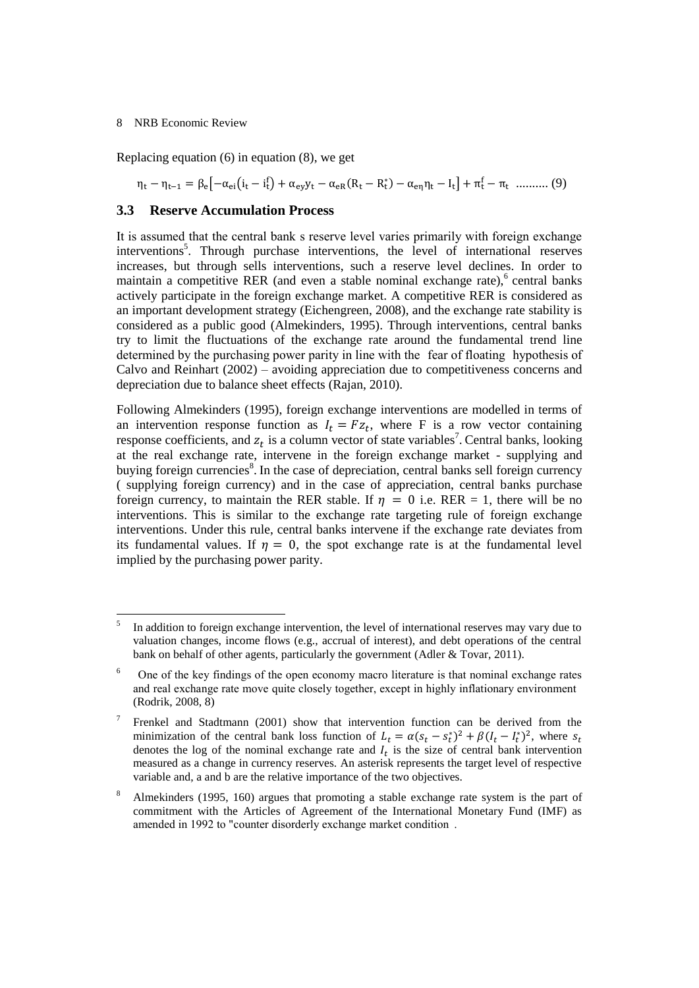Replacing equation (6) in equation (8), we get

$$
\eta_t - \eta_{t-1} = \beta_e \left[ -\alpha_{ei} (i_t - i_t^f) + \alpha_{ey} y_t - \alpha_{eR} (R_t - R_t^*) - \alpha_{e\eta} \eta_t - I_t \right] + \pi_t^f - \pi_t \quad \dots \dots \dots (9)
$$

# **3.3 Reserve Accumulation Process**

It is assumed that the central bank s reserve level varies primarily with foreign exchange interventions<sup>5</sup>. Through purchase interventions, the level of international reserves increases, but through sells interventions, such a reserve level declines. In order to maintain a competitive RER (and even a stable nominal exchange rate), central banks actively participate in the foreign exchange market. A competitive RER is considered as an important development strategy (Eichengreen, 2008), and the exchange rate stability is considered as a public good (Almekinders, 1995). Through interventions, central banks try to limit the fluctuations of the exchange rate around the fundamental trend line determined by the purchasing power parity in line with the fear of floating hypothesis of Calvo and Reinhart (2002) – avoiding appreciation due to competitiveness concerns and depreciation due to balance sheet effects (Rajan, 2010).

Following Almekinders (1995), foreign exchange interventions are modelled in terms of an intervention response function as  $I_t = Fz_t$ , where F is a row vector containing response coefficients, and  $z_t$  is a column vector of state variables<sup>7</sup>. Central banks, looking at the real exchange rate, intervene in the foreign exchange market - supplying and buying foreign currencies<sup>8</sup>. In the case of depreciation, central banks sell foreign currency ( supplying foreign currency) and in the case of appreciation, central banks purchase foreign currency, to maintain the RER stable. If  $\eta = 0$  i.e. RER = 1, there will be no interventions. This is similar to the exchange rate targeting rule of foreign exchange interventions. Under this rule, central banks intervene if the exchange rate deviates from its fundamental values. If  $\eta = 0$ , the spot exchange rate is at the fundamental level implied by the purchasing power parity.

 5 In addition to foreign exchange intervention, the level of international reserves may vary due to valuation changes, income flows (e.g., accrual of interest), and debt operations of the central bank on behalf of other agents, particularly the government (Adler & Tovar, 2011).

<sup>6</sup> One of the key findings of the open economy macro literature is that nominal exchange rates and real exchange rate move quite closely together, except in highly inflationary environment (Rodrik, 2008, 8)

<sup>7</sup> Frenkel and Stadtmann (2001) show that intervention function can be derived from the minimization of the central bank loss function of  $L_t = \alpha (s_t - s_t^*)^2 + \beta (I_t - I_t^*)^2$ , where denotes the log of the nominal exchange rate and  $I_t$  is the size of central bank intervention measured as a change in currency reserves. An asterisk represents the target level of respective variable and, a and b are the relative importance of the two objectives.

<sup>&</sup>lt;sup>8</sup> Almekinders (1995, 160) argues that promoting a stable exchange rate system is the part of commitment with the Articles of Agreement of the International Monetary Fund (IMF) as amended in 1992 to "counter disorderly exchange market condition.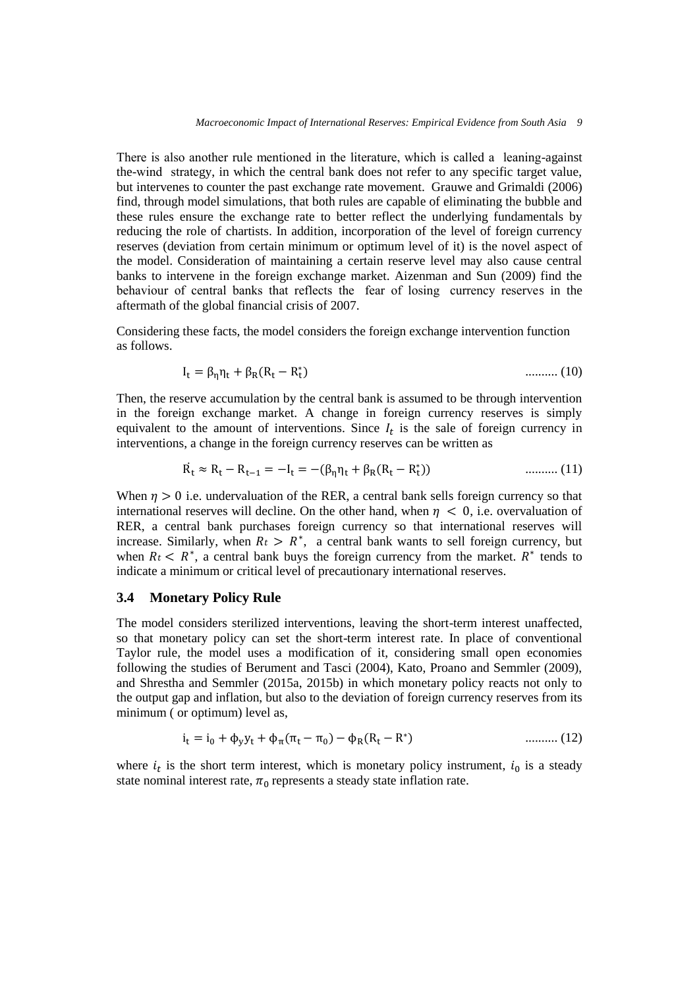There is also another rule mentioned in the literature, which is called a leaning-against the-wind strategy, in which the central bank does not refer to any specific target value, but intervenes to counter the past exchange rate movement. Grauwe and Grimaldi (2006) find, through model simulations, that both rules are capable of eliminating the bubble and these rules ensure the exchange rate to better reflect the underlying fundamentals by reducing the role of chartists. In addition, incorporation of the level of foreign currency reserves (deviation from certain minimum or optimum level of it) is the novel aspect of the model. Consideration of maintaining a certain reserve level may also cause central banks to intervene in the foreign exchange market. Aizenman and Sun (2009) find the behaviour of central banks that reflects the fear of losing currency reserves in the aftermath of the global financial crisis of 2007.

Considering these facts, the model considers the foreign exchange intervention function as follows.

$$
I_{t} = \beta_{n} \eta_{t} + \beta_{R} (R_{t} - R_{t}^{*})
$$
 (10)

Then, the reserve accumulation by the central bank is assumed to be through intervention in the foreign exchange market. A change in foreign currency reserves is simply equivalent to the amount of interventions. Since  $I_t$  is the sale of foreign currency in interventions, a change in the foreign currency reserves can be written as

$$
\dot{R}_t \approx R_t - R_{t-1} = -I_t = -(\beta_\eta \eta_t + \beta_R (R_t - R_t^*))
$$
 ......... (11)

When  $\eta > 0$  i.e. undervaluation of the RER, a central bank sells foreign currency so that international reserves will decline. On the other hand, when  $\eta$  < 0, i.e. overvaluation of RER, a central bank purchases foreign currency so that international reserves will increase. Similarly, when  $R_t > R^*$ , a central bank wants to sell foreign currency, but when  $R_t < R^*$ , a central bank buys the foreign currency from the market.  $R^*$  tends to indicate a minimum or critical level of precautionary international reserves.

# **3.4 Monetary Policy Rule**

The model considers sterilized interventions, leaving the short-term interest unaffected, so that monetary policy can set the short-term interest rate. In place of conventional Taylor rule, the model uses a modification of it, considering small open economies following the studies of Berument and Tasci (2004), Kato, Proano and Semmler (2009), and Shrestha and Semmler (2015a, 2015b) in which monetary policy reacts not only to the output gap and inflation, but also to the deviation of foreign currency reserves from its minimum ( or optimum) level as,

$$
i_t = i_0 + \phi_y y_t + \phi_\pi (\pi_t - \pi_0) - \phi_R (R_t - R^*)
$$
 ......... (12)

where  $i_t$  is the short term interest, which is monetary policy instrument,  $i_0$  is a steady state nominal interest rate,  $\pi_0$  represents a steady state inflation rate.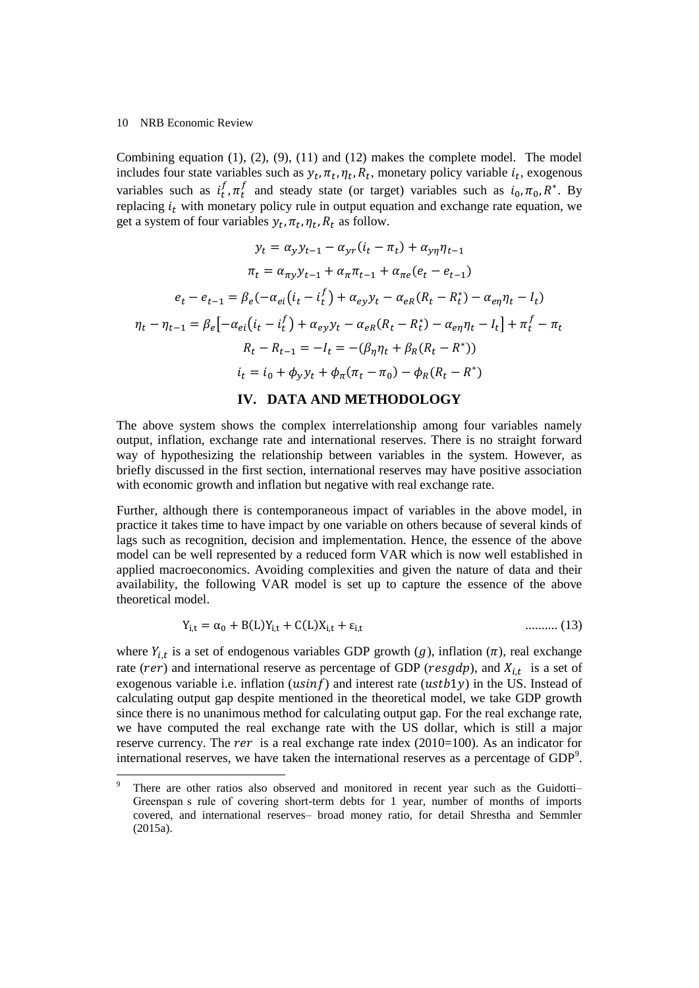1

Combining equation  $(1)$ ,  $(2)$ ,  $(9)$ ,  $(11)$  and  $(12)$  makes the complete model. The model includes four state variables such as  $y_t$ ,  $\pi_t$ ,  $\eta_t$ ,  $R_t$ , monetary policy variable  $i_t$ , exogenous variables such as  $i_t^j$  $f_t^f$ ,  $\pi_t^f$  and steady state (or target) variables such as  $i_0$ ,  $\pi_0$ ,  $R^*$ . By replacing  $i_t$  with monetary policy rule in output equation and exchange rate equation, we get a system of four variables  $y_t$ ,  $\pi_t$ ,  $\eta_t$ ,  $R_t$  as follow.

$$
y_t = \alpha_y y_{t-1} - \alpha_{yr} (i_t - \pi_t) + \alpha_{yn} \eta_{t-1}
$$
  
\n
$$
\pi_t = \alpha_{\pi y} y_{t-1} + \alpha_{\pi} \pi_{t-1} + \alpha_{\pi e} (e_t - e_{t-1})
$$
  
\n
$$
e_t - e_{t-1} = \beta_e (-\alpha_{ei} (i_t - i_t^f) + \alpha_{ey} y_t - \alpha_{en} (R_t - R_t^*) - \alpha_{en} \eta_t - I_t)
$$
  
\n
$$
\eta_t - \eta_{t-1} = \beta_e [-\alpha_{ei} (i_t - i_t^f) + \alpha_{ey} y_t - \alpha_{en} (R_t - R_t^*) - \alpha_{en} \eta_t - I_t] + \pi_t^f - \pi_t
$$
  
\n
$$
R_t - R_{t-1} = -I_t = -(\beta_{\eta} \eta_t + \beta_R (R_t - R^*))
$$
  
\n
$$
i_t = i_0 + \phi_y y_t + \phi_\pi (\pi_t - \pi_0) - \phi_R (R_t - R^*)
$$

# **IV. DATA AND METHODOLOGY**

The above system shows the complex interrelationship among four variables namely output, inflation, exchange rate and international reserves. There is no straight forward way of hypothesizing the relationship between variables in the system. However, as briefly discussed in the first section, international reserves may have positive association with economic growth and inflation but negative with real exchange rate.

Further, although there is contemporaneous impact of variables in the above model, in practice it takes time to have impact by one variable on others because of several kinds of lags such as recognition, decision and implementation. Hence, the essence of the above model can be well represented by a reduced form VAR which is now well established in applied macroeconomics. Avoiding complexities and given the nature of data and their availability, the following VAR model is set up to capture the essence of the above theoretical model.

$$
Y_{i,t} = \alpha_0 + B(L)Y_{i,t} + C(L)X_{i,t} + \varepsilon_{i,t}
$$
 (13)

where  $Y_{i,t}$  is a set of endogenous variables GDP growth (g), inflation ( $\pi$ ), real exchange rate (rer) and international reserve as percentage of GDP (resgdp), and  $X_{i,t}$  is a set of exogenous variable i.e. inflation ( $usinf$ ) and interest rate ( $ustb1y$ ) in the US. Instead of calculating output gap despite mentioned in the theoretical model, we take GDP growth since there is no unanimous method for calculating output gap. For the real exchange rate, we have computed the real exchange rate with the US dollar, which is still a major reserve currency. The *rer* is a real exchange rate index  $(2010=100)$ . As an indicator for international reserves, we have taken the international reserves as a percentage of  $GDP<sup>9</sup>$ .

There are other ratios also observed and monitored in recent year such as the Guidotti-Greenspan s rule of covering short-term debts for 1 year, number of months of imports covered, and international reserves– broad money ratio, for detail Shrestha and Semmler (2015a).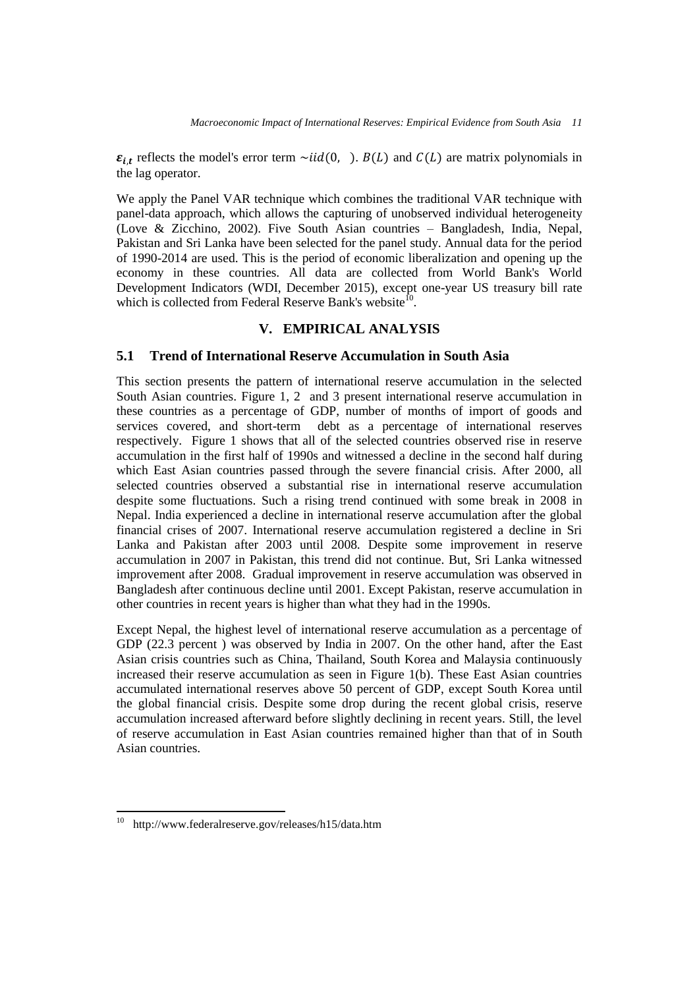$\varepsilon_{i,t}$  reflects the model's error term  $\sim$ iid(0, ).  $B(L)$  and  $C(L)$  are matrix polynomials in the lag operator.

We apply the Panel VAR technique which combines the traditional VAR technique with panel-data approach, which allows the capturing of unobserved individual heterogeneity (Love & Zicchino, 2002). Five South Asian countries – Bangladesh, India, Nepal, Pakistan and Sri Lanka have been selected for the panel study. Annual data for the period of 1990-2014 are used. This is the period of economic liberalization and opening up the economy in these countries. All data are collected from World Bank's World Development Indicators (WDI, December 2015), except one-year US treasury bill rate which is collected from Federal Reserve Bank's website<sup>10</sup>.

# **V. EMPIRICAL ANALYSIS**

## **5.1 Trend of International Reserve Accumulation in South Asia**

This section presents the pattern of international reserve accumulation in the selected South Asian countries. Figure 1, 2 and 3 present international reserve accumulation in these countries as a percentage of GDP, number of months of import of goods and services covered, and short-term debt as a percentage of international reserves respectively. Figure 1 shows that all of the selected countries observed rise in reserve accumulation in the first half of 1990s and witnessed a decline in the second half during which East Asian countries passed through the severe financial crisis. After 2000, all selected countries observed a substantial rise in international reserve accumulation despite some fluctuations. Such a rising trend continued with some break in 2008 in Nepal. India experienced a decline in international reserve accumulation after the global financial crises of 2007. International reserve accumulation registered a decline in Sri Lanka and Pakistan after 2003 until 2008. Despite some improvement in reserve accumulation in 2007 in Pakistan, this trend did not continue. But, Sri Lanka witnessed improvement after 2008. Gradual improvement in reserve accumulation was observed in Bangladesh after continuous decline until 2001. Except Pakistan, reserve accumulation in other countries in recent years is higher than what they had in the 1990s.

Except Nepal, the highest level of international reserve accumulation as a percentage of GDP (22.3 percent ) was observed by India in 2007. On the other hand, after the East Asian crisis countries such as China, Thailand, South Korea and Malaysia continuously increased their reserve accumulation as seen in Figure 1(b). These East Asian countries accumulated international reserves above 50 percent of GDP, except South Korea until the global financial crisis. Despite some drop during the recent global crisis, reserve accumulation increased afterward before slightly declining in recent years. Still, the level of reserve accumulation in East Asian countries remained higher than that of in South Asian countries.

 $10\,$ <sup>10</sup> http://www.federalreserve.gov/releases/h15/data.htm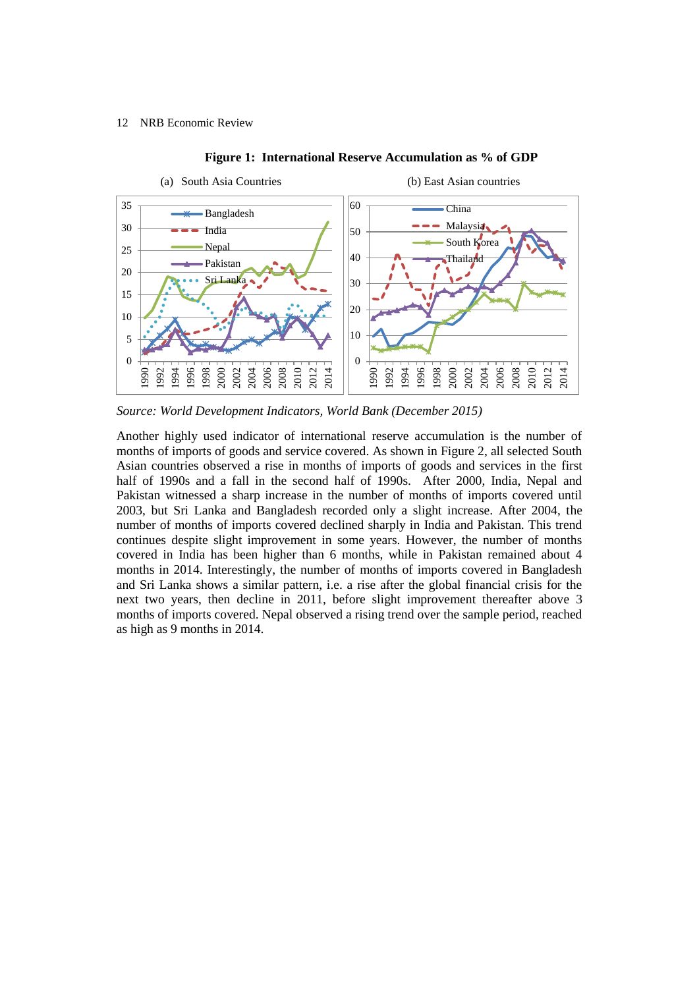

#### **Figure 1: International Reserve Accumulation as % of GDP**

*Source: World Development Indicators, World Bank (December 2015)*

Another highly used indicator of international reserve accumulation is the number of months of imports of goods and service covered. As shown in Figure 2, all selected South Asian countries observed a rise in months of imports of goods and services in the first half of 1990s and a fall in the second half of 1990s. After 2000, India, Nepal and Pakistan witnessed a sharp increase in the number of months of imports covered until 2003, but Sri Lanka and Bangladesh recorded only a slight increase. After 2004, the number of months of imports covered declined sharply in India and Pakistan. This trend continues despite slight improvement in some years. However, the number of months covered in India has been higher than 6 months, while in Pakistan remained about 4 months in 2014. Interestingly, the number of months of imports covered in Bangladesh and Sri Lanka shows a similar pattern, i.e. a rise after the global financial crisis for the next two years, then decline in 2011, before slight improvement thereafter above 3 months of imports covered. Nepal observed a rising trend over the sample period, reached as high as 9 months in 2014.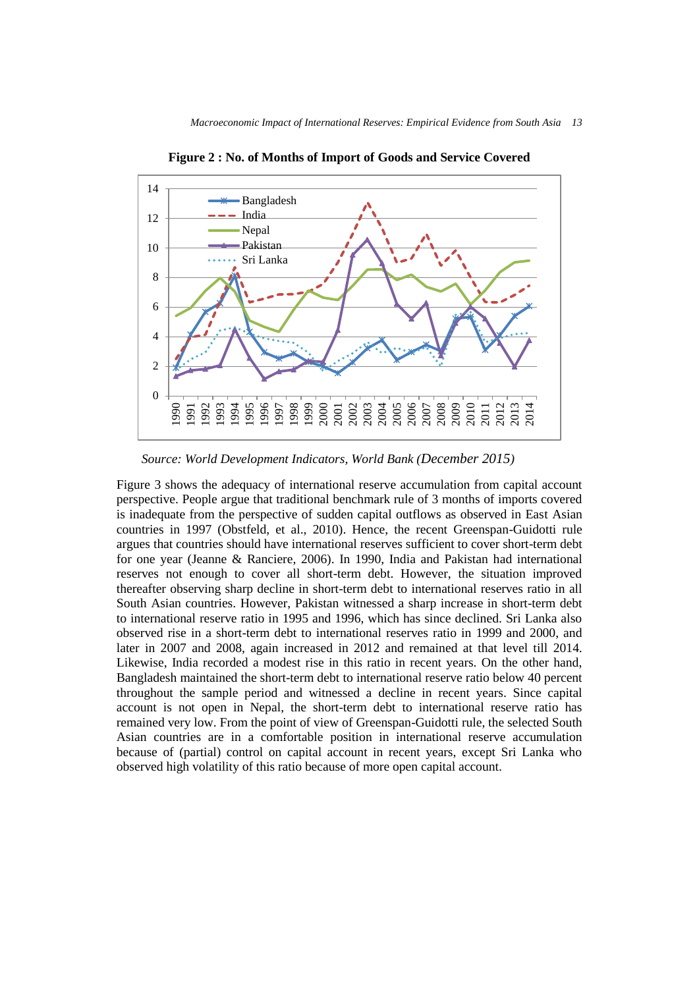

**Figure 2 : No. of Months of Import of Goods and Service Covered**

Figure 3 shows the adequacy of international reserve accumulation from capital account perspective. People argue that traditional benchmark rule of 3 months of imports covered is inadequate from the perspective of sudden capital outflows as observed in East Asian countries in 1997 (Obstfeld, et al., 2010). Hence, the recent Greenspan-Guidotti rule argues that countries should have international reserves sufficient to cover short-term debt for one year (Jeanne & Ranciere, 2006). In 1990, India and Pakistan had international reserves not enough to cover all short-term debt. However, the situation improved thereafter observing sharp decline in short-term debt to international reserves ratio in all South Asian countries. However, Pakistan witnessed a sharp increase in short-term debt to international reserve ratio in 1995 and 1996, which has since declined. Sri Lanka also observed rise in a short-term debt to international reserves ratio in 1999 and 2000, and later in 2007 and 2008, again increased in 2012 and remained at that level till 2014. Likewise, India recorded a modest rise in this ratio in recent years. On the other hand, Bangladesh maintained the short-term debt to international reserve ratio below 40 percent throughout the sample period and witnessed a decline in recent years. Since capital account is not open in Nepal, the short-term debt to international reserve ratio has remained very low. From the point of view of Greenspan-Guidotti rule, the selected South Asian countries are in a comfortable position in international reserve accumulation because of (partial) control on capital account in recent years, except Sri Lanka who observed high volatility of this ratio because of more open capital account.

*Source: World Development Indicators, World Bank (December 2015)*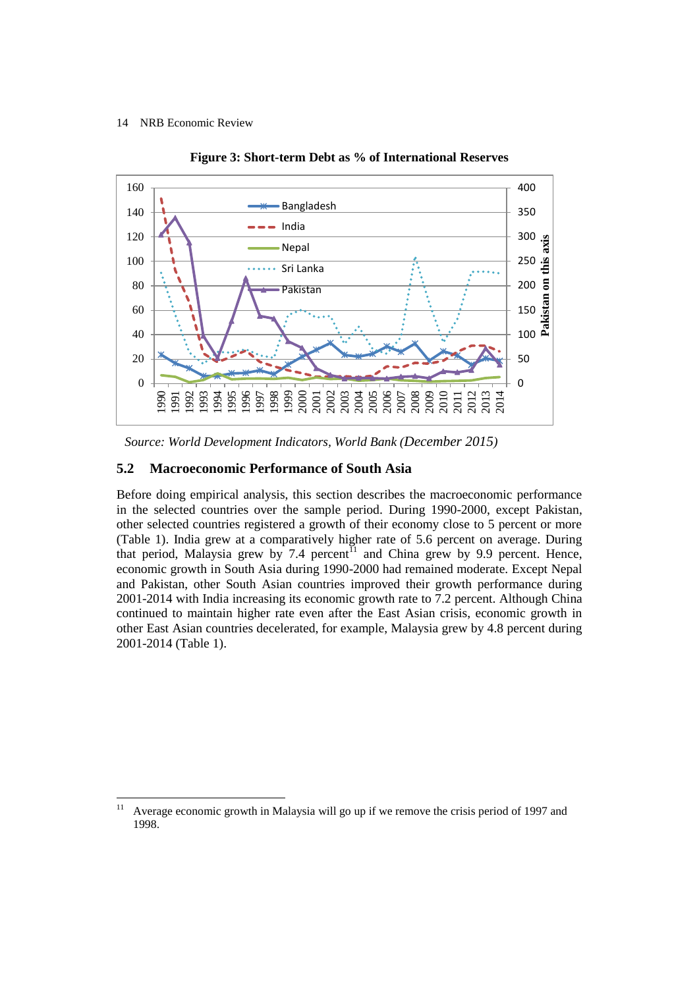

**Figure 3: Short-term Debt as % of International Reserves**

## **5.2 Macroeconomic Performance of South Asia**

Before doing empirical analysis, this section describes the macroeconomic performance in the selected countries over the sample period. During 1990-2000, except Pakistan, other selected countries registered a growth of their economy close to 5 percent or more (Table 1). India grew at a comparatively higher rate of 5.6 percent on average. During that period, Malaysia grew by 7.4 percent<sup> $11$ </sup> and China grew by 9.9 percent. Hence, economic growth in South Asia during 1990-2000 had remained moderate. Except Nepal and Pakistan, other South Asian countries improved their growth performance during 2001-2014 with India increasing its economic growth rate to 7.2 percent. Although China continued to maintain higher rate even after the East Asian crisis, economic growth in other East Asian countries decelerated, for example, Malaysia grew by 4.8 percent during 2001-2014 (Table 1).

*Source: World Development Indicators, World Bank (December 2015)*

 $11\,$ Average economic growth in Malaysia will go up if we remove the crisis period of 1997 and 1998.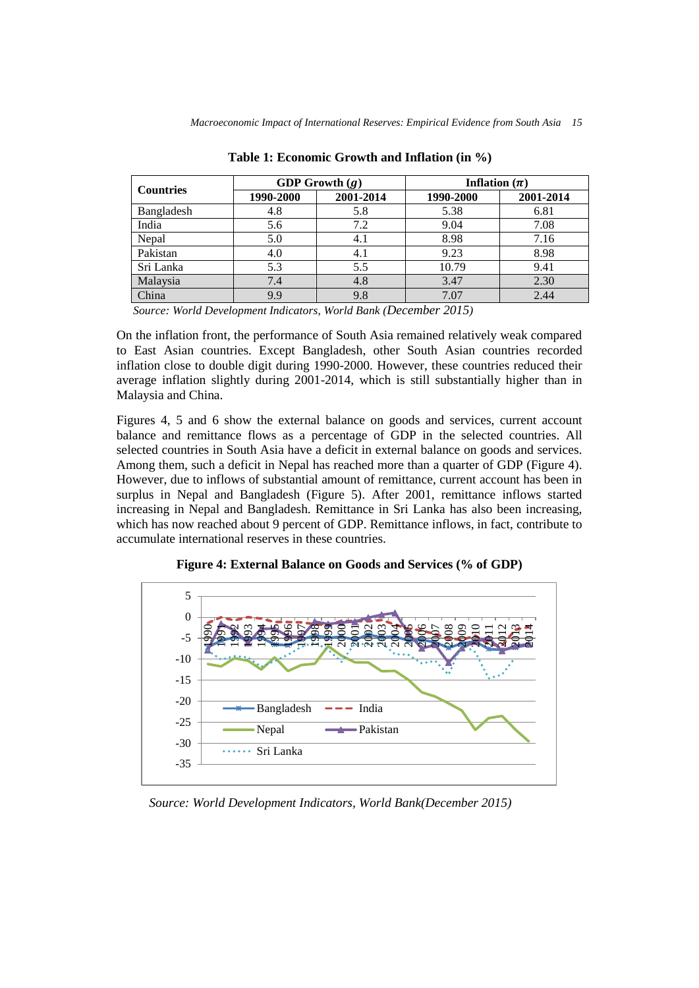| <b>Countries</b> | GDP Growth $(g)$ |           | Inflation $(\pi)$ |           |
|------------------|------------------|-----------|-------------------|-----------|
|                  | 1990-2000        | 2001-2014 | 1990-2000         | 2001-2014 |
| Bangladesh       | 4.8              | 5.8       | 5.38              | 6.81      |
| India            | 5.6              | 7.2       | 9.04              | 7.08      |
| Nepal            | 5.0              | 4.1       | 8.98              | 7.16      |
| Pakistan         | 4.0              | 4.1       | 9.23              | 8.98      |
| Sri Lanka        | 5.3              | 5.5       | 10.79             | 9.41      |
| Malaysia         | 7.4              | 4.8       | 3.47              | 2.30      |
| China            | 9.9              | 9.8       | 7.07              | 2.44      |

**Table 1: Economic Growth and Inflation (in %)**

*Source: World Development Indicators, World Bank (December 2015)*

On the inflation front, the performance of South Asia remained relatively weak compared to East Asian countries. Except Bangladesh, other South Asian countries recorded inflation close to double digit during 1990-2000. However, these countries reduced their average inflation slightly during 2001-2014, which is still substantially higher than in Malaysia and China.

Figures 4, 5 and 6 show the external balance on goods and services, current account balance and remittance flows as a percentage of GDP in the selected countries. All selected countries in South Asia have a deficit in external balance on goods and services. Among them, such a deficit in Nepal has reached more than a quarter of GDP (Figure 4). However, due to inflows of substantial amount of remittance, current account has been in surplus in Nepal and Bangladesh (Figure 5). After 2001, remittance inflows started increasing in Nepal and Bangladesh. Remittance in Sri Lanka has also been increasing, which has now reached about 9 percent of GDP. Remittance inflows, in fact, contribute to accumulate international reserves in these countries.



**Figure 4: External Balance on Goods and Services (% of GDP)**

*Source: World Development Indicators, World Bank(December 2015)*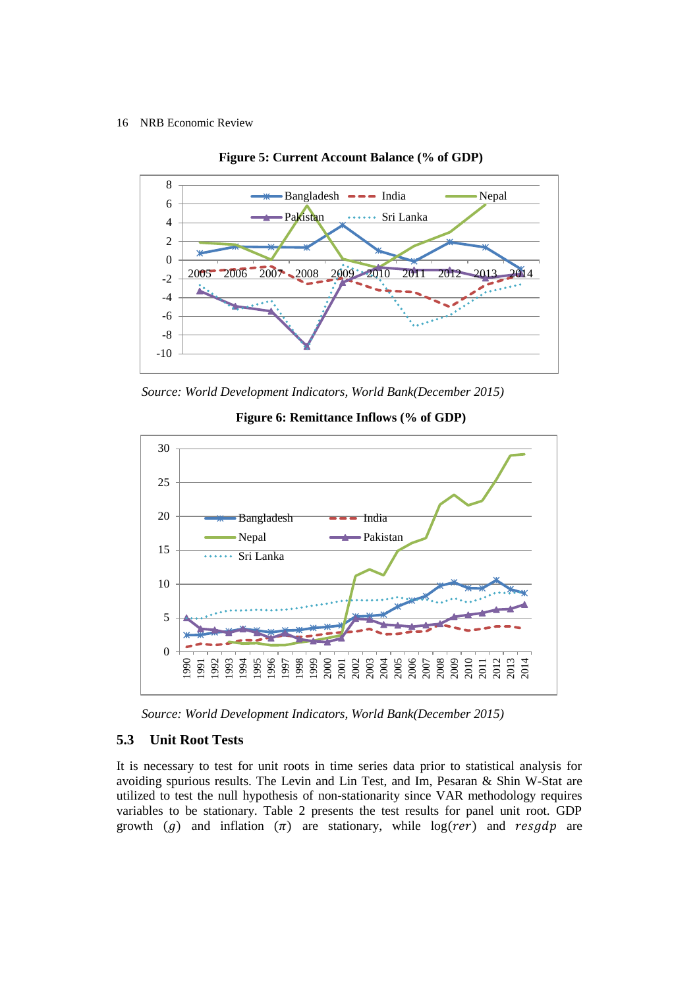



*Source: World Development Indicators, World Bank(December 2015)*



**Figure 6: Remittance Inflows (% of GDP)**

*Source: World Development Indicators, World Bank(December 2015)*

# **5.3 Unit Root Tests**

It is necessary to test for unit roots in time series data prior to statistical analysis for avoiding spurious results. The Levin and Lin Test, and Im, Pesaran & Shin W-Stat are utilized to test the null hypothesis of non-stationarity since VAR methodology requires variables to be stationary. Table 2 presents the test results for panel unit root. GDP growth (g) and inflation  $(\pi)$  are stationary, while log(rer) and resgdp are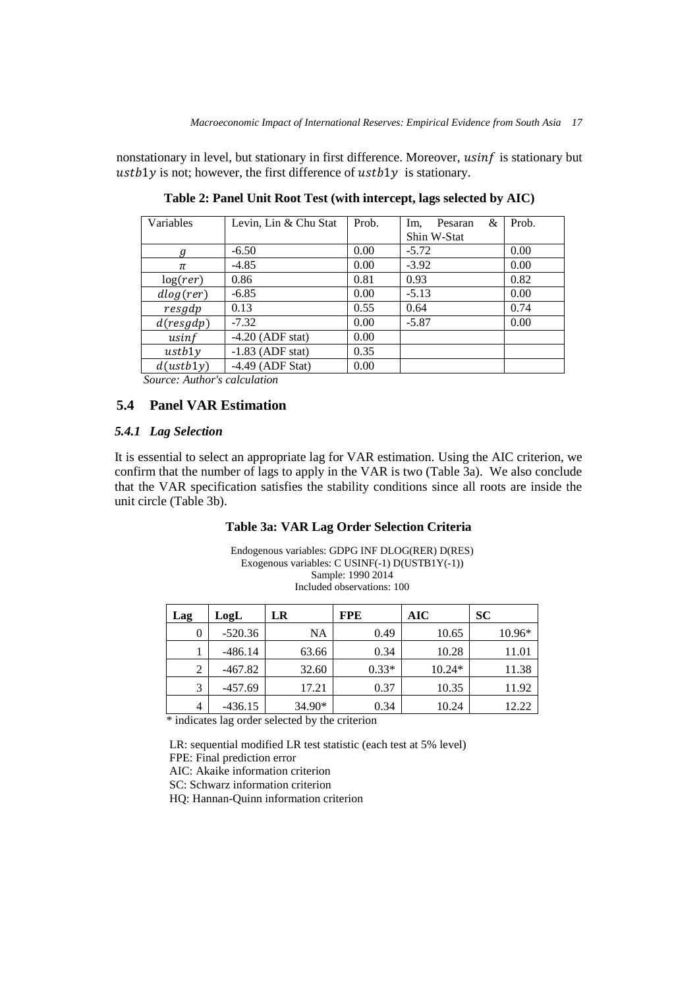nonstationary in level, but stationary in first difference. Moreover, usinf is stationary but  $ustb1y$  is not; however, the first difference of  $ustb1y$  is stationary.

| Variables | Levin, Lin & Chu Stat | Prob. | &<br>Im.<br>Pesaran | Prob. |
|-----------|-----------------------|-------|---------------------|-------|
|           |                       |       | Shin W-Stat         |       |
| g         | $-6.50$               | 0.00  | $-5.72$             | 0.00  |
| π         | $-4.85$               | 0.00  | $-3.92$             | 0.00  |
| log(rer)  | 0.86                  | 0.81  | 0.93                | 0.82  |
| dlog(rer) | $-6.85$               | 0.00  | $-5.13$             | 0.00  |
| resgdp    | 0.13                  | 0.55  | 0.64                | 0.74  |
| d(resgdp) | $-7.32$               | 0.00  | $-5.87$             | 0.00  |
| usinf     | $-4.20$ (ADF stat)    | 0.00  |                     |       |
| ustb1v    | $-1.83$ (ADF stat)    | 0.35  |                     |       |
| d(ustb1y) | $-4.49$ (ADF Stat)    | 0.00  |                     |       |

**Table 2: Panel Unit Root Test (with intercept, lags selected by AIC)**

*Source: Author's calculation*

# **5.4 Panel VAR Estimation**

# *5.4.1 Lag Selection*

It is essential to select an appropriate lag for VAR estimation. Using the AIC criterion, we confirm that the number of lags to apply in the VAR is two (Table 3a). We also conclude that the VAR specification satisfies the stability conditions since all roots are inside the unit circle (Table 3b).

## **Table 3a: VAR Lag Order Selection Criteria**

Endogenous variables: GDPG INF DLOG(RER) D(RES) Exogenous variables: C USINF(-1) D(USTB1Y(-1)) Sample: 1990 2014 Included observations: 100

| Lag | LogL      | LR     | <b>FPE</b> | AIC      | SC       |
|-----|-----------|--------|------------|----------|----------|
| 0   | $-520.36$ | NA     | 0.49       | 10.65    | $10.96*$ |
|     | $-486.14$ | 63.66  | 0.34       | 10.28    | 11.01    |
| 2   | $-467.82$ | 32.60  | $0.33*$    | $10.24*$ | 11.38    |
| 3   | $-457.69$ | 17.21  | 0.37       | 10.35    | 11.92    |
| 4   | $-436.15$ | 34.90* | 0.34       | 10.24    | 12.22    |

\* indicates lag order selected by the criterion

LR: sequential modified LR test statistic (each test at 5% level) FPE: Final prediction error AIC: Akaike information criterion SC: Schwarz information criterion HQ: Hannan-Quinn information criterion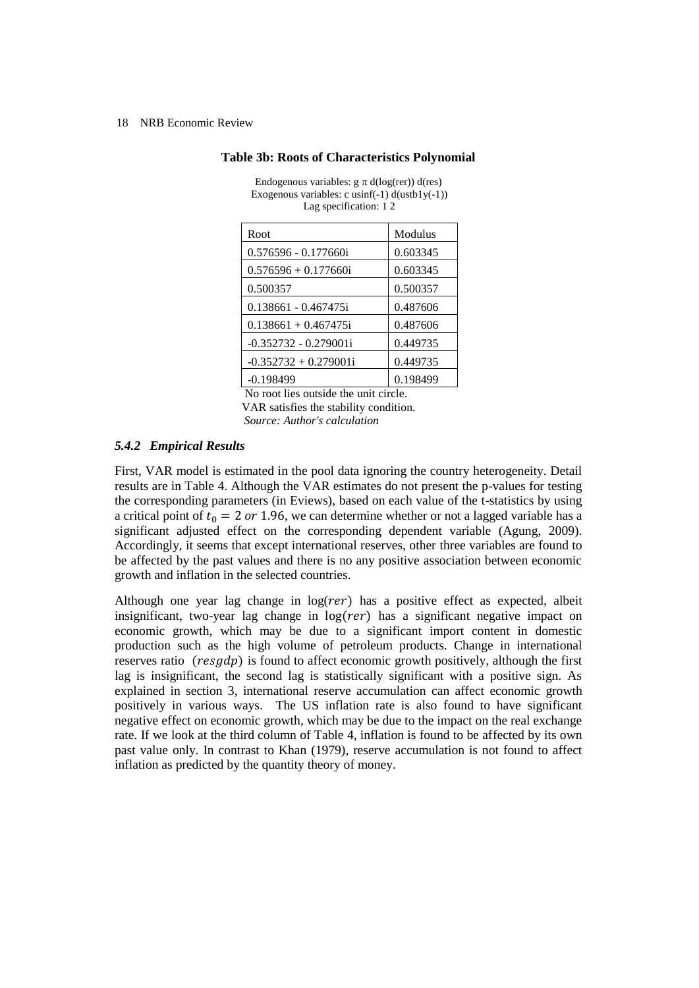| Root                    | Modulus  |
|-------------------------|----------|
| 0.576596 - 0.177660i    | 0.603345 |
| $0.576596 + 0.177660$ i | 0.603345 |
| 0.500357                | 0.500357 |
| 0.138661 - 0.467475i    | 0.487606 |
| $0.138661 + 0.467475i$  | 0.487606 |
| $-0.352732 - 0.279001i$ | 0.449735 |
| $-0.352732 + 0.279001i$ | 0.449735 |
| $-0.198499$             | 0.198499 |

Endogenous variables:  $g \pi d(log(rer)) d(res)$ Exogenous variables: c usinf(-1)  $d$ (ustb1y(-1)) Lag specification: 1 2

**Table 3b: Roots of Characteristics Polynomial**

 No root lies outside the unit circle. VAR satisfies the stability condition. *Source: Author's calculation*

# *5.4.2 Empirical Results*

First, VAR model is estimated in the pool data ignoring the country heterogeneity. Detail results are in Table 4. Although the VAR estimates do not present the p-values for testing the corresponding parameters (in Eviews), based on each value of the t-statistics by using a critical point of  $t_0 = 2$  or 1.96, we can determine whether or not a lagged variable has a significant adjusted effect on the corresponding dependent variable (Agung, 2009). Accordingly, it seems that except international reserves, other three variables are found to be affected by the past values and there is no any positive association between economic growth and inflation in the selected countries.

Although one year lag change in  $log(rer)$  has a positive effect as expected, albeit insignificant, two-year lag change in  $log(rer)$  has a significant negative impact on economic growth, which may be due to a significant import content in domestic production such as the high volume of petroleum products. Change in international reserves ratio  $(resgdp)$  is found to affect economic growth positively, although the first lag is insignificant, the second lag is statistically significant with a positive sign. As explained in section 3, international reserve accumulation can affect economic growth positively in various ways. The US inflation rate is also found to have significant negative effect on economic growth, which may be due to the impact on the real exchange rate. If we look at the third column of Table 4, inflation is found to be affected by its own past value only. In contrast to Khan (1979), reserve accumulation is not found to affect inflation as predicted by the quantity theory of money.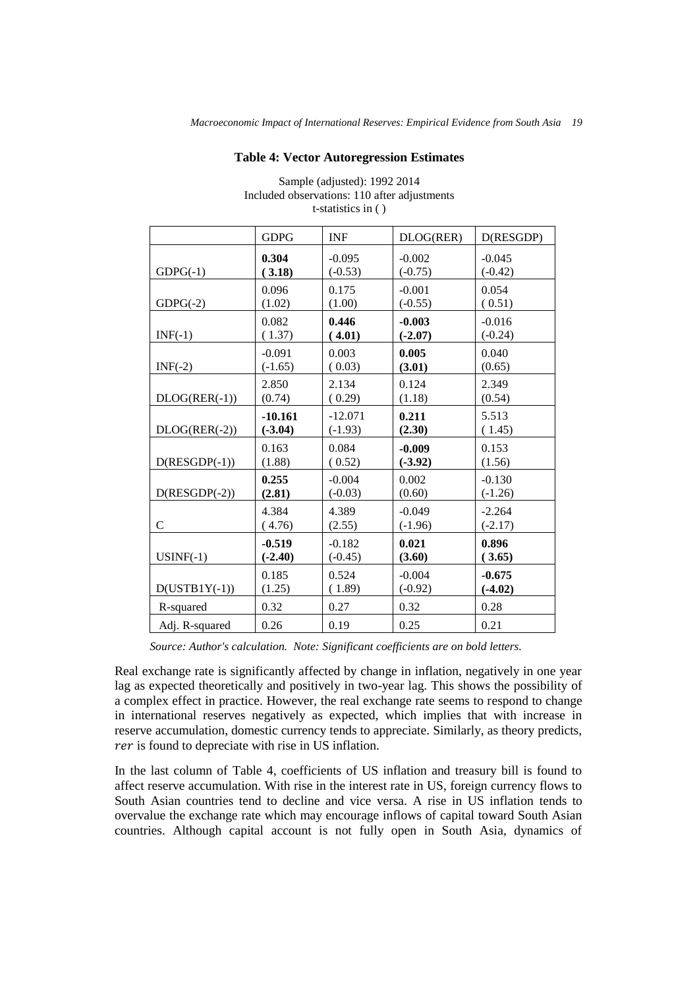#### **Table 4: Vector Autoregression Estimates**

|                 | <b>GDPG</b> | <b>INF</b> | DLOG(RER) | D(RESGDP) |
|-----------------|-------------|------------|-----------|-----------|
| $GDPG(-1)$      | 0.304       | $-0.095$   | $-0.002$  | $-0.045$  |
|                 | (3.18)      | $(-0.53)$  | $(-0.75)$ | $(-0.42)$ |
| $GDPG(-2)$      | 0.096       | 0.175      | $-0.001$  | 0.054     |
|                 | (1.02)      | (1.00)     | $(-0.55)$ | (0.51)    |
| $INF(-1)$       | 0.082       | 0.446      | $-0.003$  | $-0.016$  |
|                 | (1.37)      | (4.01)     | $(-2.07)$ | $(-0.24)$ |
| $INF(-2)$       | $-0.091$    | 0.003      | 0.005     | 0.040     |
|                 | $(-1.65)$   | (0.03)     | (3.01)    | (0.65)    |
| $DLOG(RER(-1))$ | 2.850       | 2.134      | 0.124     | 2.349     |
|                 | (0.74)      | (0.29)     | (1.18)    | (0.54)    |
| $DLOG(RER(-2))$ | $-10.161$   | $-12.071$  | 0.211     | 5.513     |
|                 | $(-3.04)$   | $(-1.93)$  | (2.30)    | (1.45)    |
| $D(RESGDP(-1))$ | 0.163       | 0.084      | $-0.009$  | 0.153     |
|                 | (1.88)      | (0.52)     | $(-3.92)$ | (1.56)    |
| $D(RESGDP(-2))$ | 0.255       | $-0.004$   | 0.002     | $-0.130$  |
|                 | (2.81)      | $(-0.03)$  | (0.60)    | $(-1.26)$ |
| $\mathcal{C}$   | 4.384       | 4.389      | $-0.049$  | $-2.264$  |
|                 | (4.76)      | (2.55)     | $(-1.96)$ | $(-2.17)$ |
| $USINF(-1)$     | $-0.519$    | $-0.182$   | 0.021     | 0.896     |
|                 | $(-2.40)$   | $(-0.45)$  | (3.60)    | (3.65)    |
| $D(USTB1Y(-1))$ | 0.185       | 0.524      | $-0.004$  | $-0.675$  |
|                 | (1.25)      | (1.89)     | $(-0.92)$ | $(-4.02)$ |
| R-squared       | 0.32        | 0.27       | 0.32      | 0.28      |
| Adj. R-squared  | 0.26        | 0.19       | 0.25      | 0.21      |

Sample (adjusted): 1992 2014 Included observations: 110 after adjustments t-statistics in ( )

*Source: Author's calculation. Note: Significant coefficients are on bold letters.*

Real exchange rate is significantly affected by change in inflation, negatively in one year lag as expected theoretically and positively in two-year lag. This shows the possibility of a complex effect in practice. However, the real exchange rate seems to respond to change in international reserves negatively as expected, which implies that with increase in reserve accumulation, domestic currency tends to appreciate. Similarly, as theory predicts, rer is found to depreciate with rise in US inflation.

In the last column of Table 4, coefficients of US inflation and treasury bill is found to affect reserve accumulation. With rise in the interest rate in US, foreign currency flows to South Asian countries tend to decline and vice versa. A rise in US inflation tends to overvalue the exchange rate which may encourage inflows of capital toward South Asian countries. Although capital account is not fully open in South Asia, dynamics of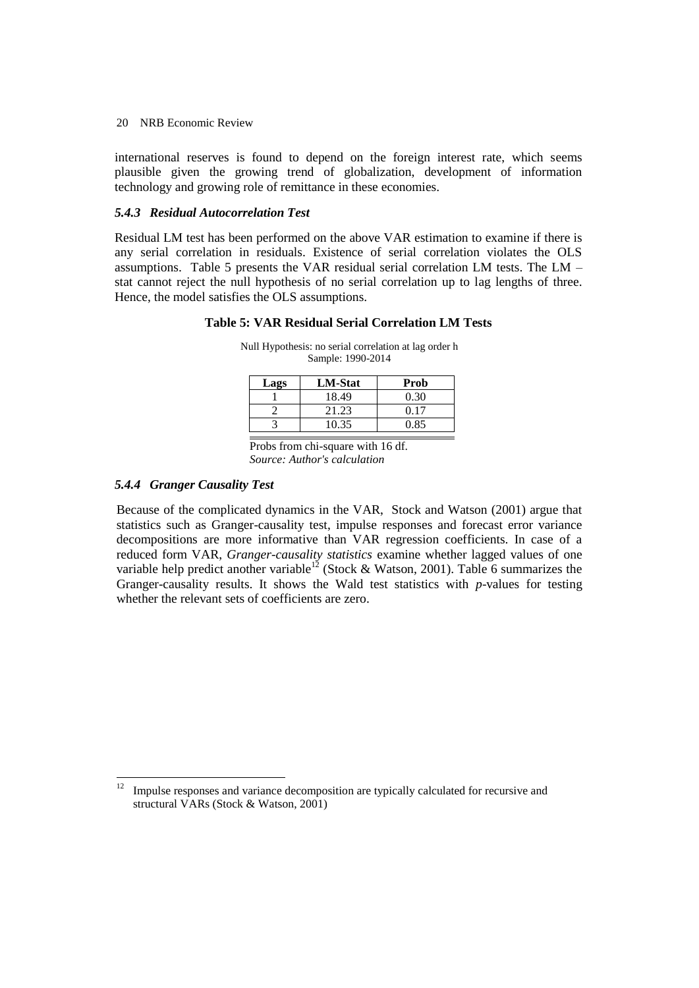international reserves is found to depend on the foreign interest rate, which seems plausible given the growing trend of globalization, development of information technology and growing role of remittance in these economies.

# *5.4.3 Residual Autocorrelation Test*

Residual LM test has been performed on the above VAR estimation to examine if there is any serial correlation in residuals. Existence of serial correlation violates the OLS assumptions. Table 5 presents the VAR residual serial correlation LM tests. The LM – stat cannot reject the null hypothesis of no serial correlation up to lag lengths of three. Hence, the model satisfies the OLS assumptions.

# **Table 5: VAR Residual Serial Correlation LM Tests**

| Lags | <b>LM-Stat</b> | Prob |
|------|----------------|------|
|      | 18.49          | 0.30 |
|      | 21.23          | 0.17 |
|      | 10.35          | 0.85 |

Null Hypothesis: no serial correlation at lag order h Sample: 1990-2014

Probs from chi-square with 16 df. *Source: Author's calculation*

# *5.4.4 Granger Causality Test*

 $\ddot{\phantom{a}}$ 

Because of the complicated dynamics in the VAR, Stock and Watson (2001) argue that statistics such as Granger-causality test, impulse responses and forecast error variance decompositions are more informative than VAR regression coefficients. In case of a reduced form VAR, *Granger-causality statistics* examine whether lagged values of one variable help predict another variable<sup>12</sup> (Stock & Watson, 2001). Table 6 summarizes the Granger-causality results. It shows the Wald test statistics with *p*-values for testing whether the relevant sets of coefficients are zero.

<sup>12</sup> Impulse responses and variance decomposition are typically calculated for recursive and structural VARs (Stock & Watson, 2001)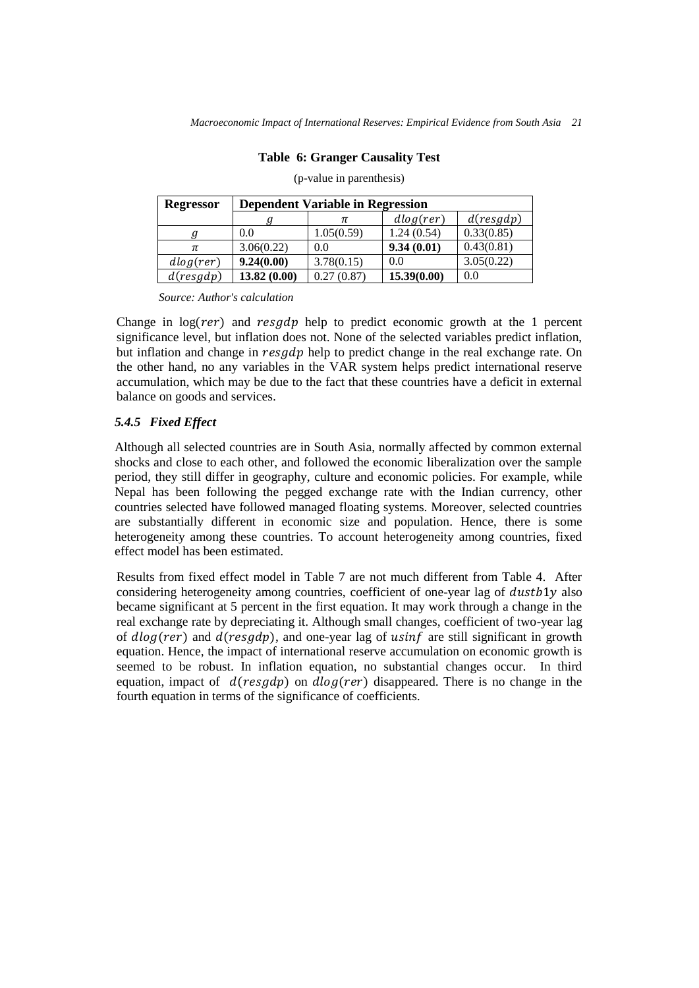## **Table 6: Granger Causality Test**

| <b>Regressor</b> | <b>Dependent Variable in Regression</b> |            |             |            |  |
|------------------|-----------------------------------------|------------|-------------|------------|--|
|                  |                                         |            | dlog(rer)   | d(resgdp)  |  |
|                  | 0.0                                     | 1.05(0.59) | 1.24(0.54)  | 0.33(0.85) |  |
| π                | 3.06(0.22)                              | 0.0        | 9.34(0.01)  | 0.43(0.81) |  |
| dlog(rer)        | 9.24(0.00)                              | 3.78(0.15) | 0.0         | 3.05(0.22) |  |
| d(resgdp)        | 13.82(0.00)                             | 0.27(0.87) | 15.39(0.00) | 0.0        |  |

(p-value in parenthesis)

*Source: Author's calculation*

Change in  $log(rer)$  and  $resgdp$  help to predict economic growth at the 1 percent significance level, but inflation does not. None of the selected variables predict inflation, but inflation and change in resgdp help to predict change in the real exchange rate. On the other hand, no any variables in the VAR system helps predict international reserve accumulation, which may be due to the fact that these countries have a deficit in external balance on goods and services.

## *5.4.5 Fixed Effect*

Although all selected countries are in South Asia, normally affected by common external shocks and close to each other, and followed the economic liberalization over the sample period, they still differ in geography, culture and economic policies. For example, while Nepal has been following the pegged exchange rate with the Indian currency, other countries selected have followed managed floating systems. Moreover, selected countries are substantially different in economic size and population. Hence, there is some heterogeneity among these countries. To account heterogeneity among countries, fixed effect model has been estimated.

Results from fixed effect model in Table 7 are not much different from Table 4. After considering heterogeneity among countries, coefficient of one-year lag of *dustb*1y also became significant at 5 percent in the first equation. It may work through a change in the real exchange rate by depreciating it. Although small changes, coefficient of two-year lag of  $dlog(rer)$  and  $d(resgdp)$ , and one-year lag of usinf are still significant in growth equation. Hence, the impact of international reserve accumulation on economic growth is seemed to be robust. In inflation equation, no substantial changes occur. In third equation, impact of  $d(resgdp)$  on  $dlog(rer)$  disappeared. There is no change in the fourth equation in terms of the significance of coefficients.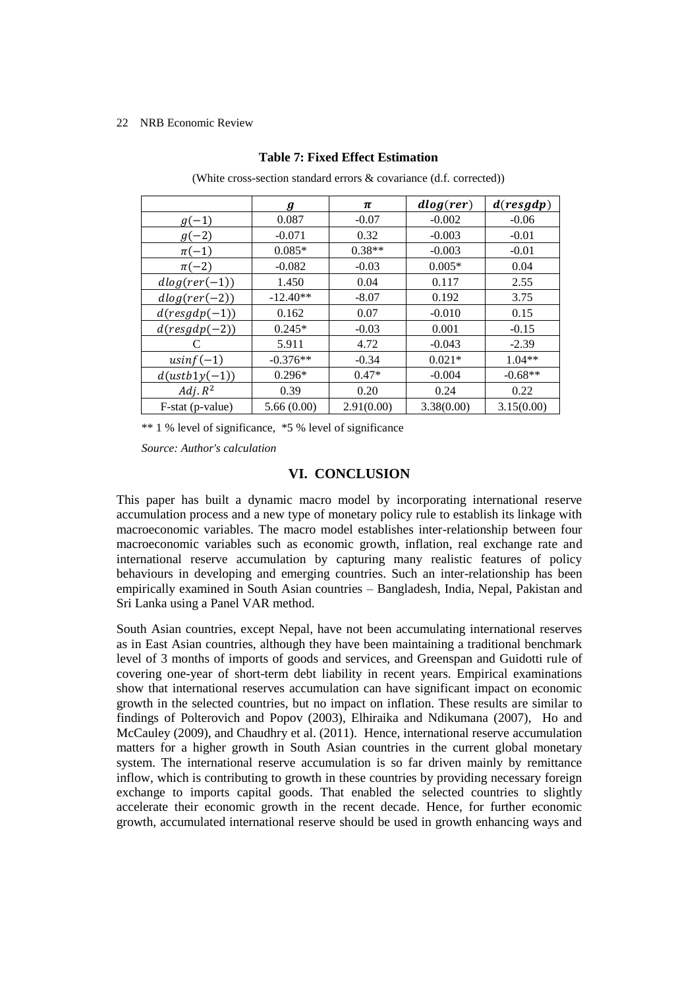|                  | $\bm{g}$   | π          | dlog(rer)  | d(resgdp)  |
|------------------|------------|------------|------------|------------|
| $g(-1)$          | 0.087      | $-0.07$    | $-0.002$   | $-0.06$    |
| $g(-2)$          | $-0.071$   | 0.32       | $-0.003$   | $-0.01$    |
| $\pi(-1)$        | $0.085*$   | $0.38**$   | $-0.003$   | $-0.01$    |
| $\pi(-2)$        | $-0.082$   | $-0.03$    | $0.005*$   | 0.04       |
| $dlog(rer(-1))$  | 1.450      | 0.04       | 0.117      | 2.55       |
| $dlog(rer(-2))$  | $-12.40**$ | $-8.07$    | 0.192      | 3.75       |
| $d(resgdp(-1))$  | 0.162      | 0.07       | $-0.010$   | 0.15       |
| $d(resgdp(-2))$  | $0.245*$   | $-0.03$    | 0.001      | $-0.15$    |
| C                | 5.911      | 4.72       | $-0.043$   | $-2.39$    |
| $usinf(-1)$      | $-0.376**$ | $-0.34$    | $0.021*$   | $1.04**$   |
| $d(ustb1y(-1))$  | $0.296*$   | $0.47*$    | $-0.004$   | $-0.68**$  |
| $Adj. R^2$       | 0.39       | 0.20       | 0.24       | 0.22       |
| F-stat (p-value) | 5.66(0.00) | 2.91(0.00) | 3.38(0.00) | 3.15(0.00) |

## **Table 7: Fixed Effect Estimation**

(White cross-section standard errors & covariance (d.f. corrected))

\*\* 1 % level of significance, \*5 % level of significance

*Source: Author's calculation*

# **VI. CONCLUSION**

This paper has built a dynamic macro model by incorporating international reserve accumulation process and a new type of monetary policy rule to establish its linkage with macroeconomic variables. The macro model establishes inter-relationship between four macroeconomic variables such as economic growth, inflation, real exchange rate and international reserve accumulation by capturing many realistic features of policy behaviours in developing and emerging countries. Such an inter-relationship has been empirically examined in South Asian countries – Bangladesh, India, Nepal, Pakistan and Sri Lanka using a Panel VAR method.

South Asian countries, except Nepal, have not been accumulating international reserves as in East Asian countries, although they have been maintaining a traditional benchmark level of 3 months of imports of goods and services, and Greenspan and Guidotti rule of covering one-year of short-term debt liability in recent years. Empirical examinations show that international reserves accumulation can have significant impact on economic growth in the selected countries, but no impact on inflation. These results are similar to findings of Polterovich and Popov (2003), Elhiraika and Ndikumana (2007), Ho and McCauley (2009), and Chaudhry et al. (2011). Hence, international reserve accumulation matters for a higher growth in South Asian countries in the current global monetary system. The international reserve accumulation is so far driven mainly by remittance inflow, which is contributing to growth in these countries by providing necessary foreign exchange to imports capital goods. That enabled the selected countries to slightly accelerate their economic growth in the recent decade. Hence, for further economic growth, accumulated international reserve should be used in growth enhancing ways and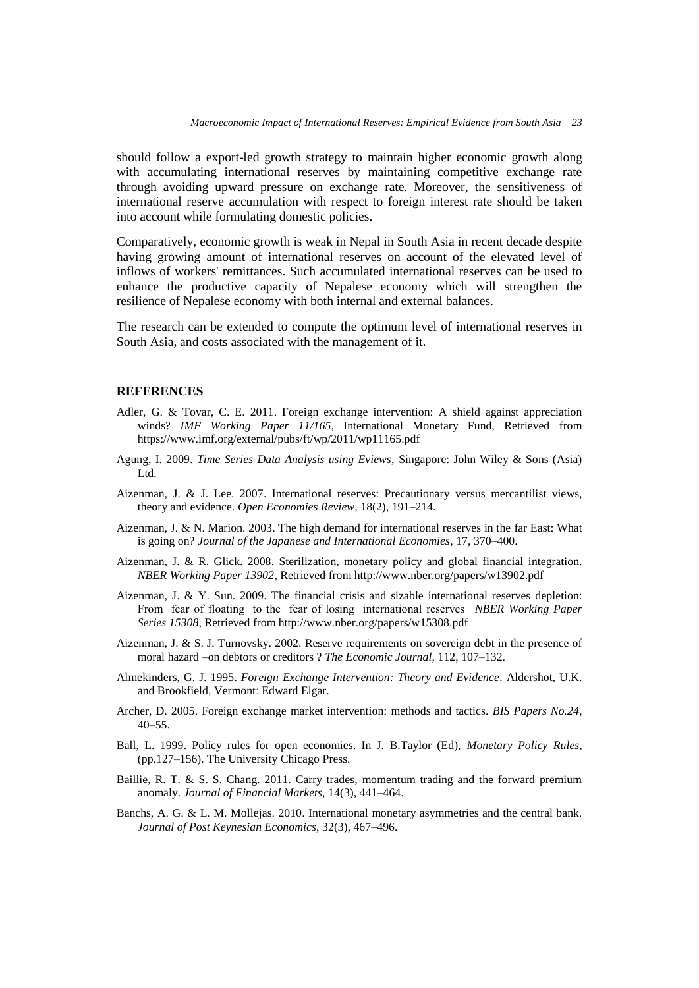should follow a export-led growth strategy to maintain higher economic growth along with accumulating international reserves by maintaining competitive exchange rate through avoiding upward pressure on exchange rate. Moreover, the sensitiveness of international reserve accumulation with respect to foreign interest rate should be taken into account while formulating domestic policies.

Comparatively, economic growth is weak in Nepal in South Asia in recent decade despite having growing amount of international reserves on account of the elevated level of inflows of workers' remittances. Such accumulated international reserves can be used to enhance the productive capacity of Nepalese economy which will strengthen the resilience of Nepalese economy with both internal and external balances.

The research can be extended to compute the optimum level of international reserves in South Asia, and costs associated with the management of it.

## **REFERENCES**

- Adler, G. & Tovar, C. E. 2011. Foreign exchange intervention: A shield against appreciation winds? *IMF Working Paper 11/165*, International Monetary Fund, Retrieved from https://www.imf.org/external/pubs/ft/wp/2011/wp11165.pdf
- Agung, I. 2009. *Time Series Data Analysis using Eviews*, Singapore: John Wiley & Sons (Asia) Ltd.
- Aizenman, J. & J. Lee. 2007. International reserves: Precautionary versus mercantilist views, theory and evidence. *Open Economies Review*, 18(2), 191–214.
- Aizenman, J. & N. Marion. 2003. The high demand for international reserves in the far East: What is going on? *Journal of the Japanese and International Economies*, 17, 370–400.
- Aizenman, J. & R. Glick. 2008. Sterilization, monetary policy and global financial integration. *NBER Working Paper 13902*, Retrieved from http://www.nber.org/papers/w13902.pdf
- Aizenman, J. & Y. Sun. 2009. The financial crisis and sizable international reserves depletion: From fear of floating to the fear of losing international reserves *NBER Working Paper Series 15308*, Retrieved from http://www.nber.org/papers/w15308.pdf
- Aizenman, J. & S. J. Turnovsky. 2002. Reserve requirements on sovereign debt in the presence of moral hazard –on debtors or creditors ? *The Economic Journal*, 112, 107–132.
- Almekinders, G. J. 1995. *Foreign Exchange Intervention: Theory and Evidence*. Aldershot, U.K. and Brookfield, Vermont: Edward Elgar.
- Archer, D. 2005. Foreign exchange market intervention: methods and tactics. *BIS Papers No.24*, 40–55.
- Ball, L. 1999. Policy rules for open economies. In J. B.Taylor (Ed), *Monetary Policy Rules*, (pp.127–156). The University Chicago Press.
- Baillie, R. T. & S. S. Chang. 2011. Carry trades, momentum trading and the forward premium anomaly. *Journal of Financial Markets*, 14(3), 441–464.
- Banchs, A. G. & L. M. Mollejas. 2010. International monetary asymmetries and the central bank. *Journal of Post Keynesian Economics*, 32(3), 467–496.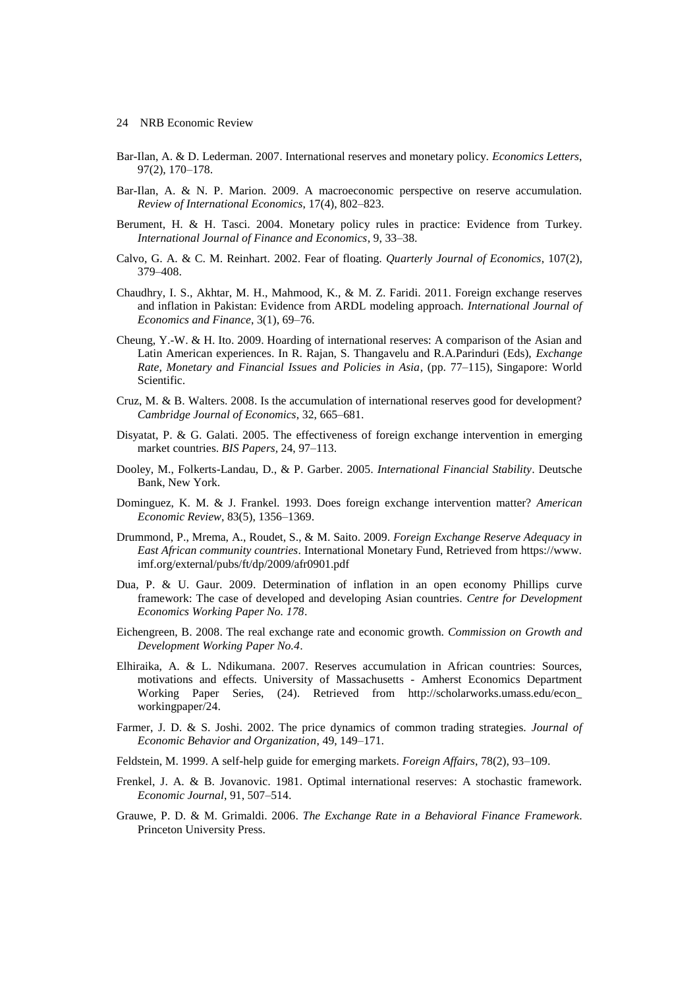- Bar-Ilan, A. & D. Lederman. 2007. International reserves and monetary policy. *Economics Letters*, 97(2), 170–178.
- Bar-Ilan, A. & N. P. Marion. 2009. A macroeconomic perspective on reserve accumulation. *Review of International Economics*, 17(4), 802–823.
- Berument, H. & H. Tasci. 2004. Monetary policy rules in practice: Evidence from Turkey. *International Journal of Finance and Economics*, 9, 33–38.
- Calvo, G. A. & C. M. Reinhart. 2002. Fear of floating. *Quarterly Journal of Economics*, 107(2), 379–408.
- Chaudhry, I. S., Akhtar, M. H., Mahmood, K., & M. Z. Faridi. 2011. Foreign exchange reserves and inflation in Pakistan: Evidence from ARDL modeling approach. *International Journal of Economics and Finance*, 3(1), 69–76.
- Cheung, Y.-W. & H. Ito. 2009. Hoarding of international reserves: A comparison of the Asian and Latin American experiences. In R. Rajan, S. Thangavelu and R.A.Parinduri (Eds), *Exchange Rate, Monetary and Financial Issues and Policies in Asia*, (pp. 77–115), Singapore: World Scientific.
- Cruz, M. & B. Walters. 2008. Is the accumulation of international reserves good for development? *Cambridge Journal of Economics*, 32, 665–681.
- Disyatat, P. & G. Galati. 2005. The effectiveness of foreign exchange intervention in emerging market countries. *BIS Papers,* 24, 97–113.
- Dooley, M., Folkerts-Landau, D., & P. Garber. 2005. *International Financial Stability*. Deutsche Bank, New York.
- Dominguez, K. M. & J. Frankel. 1993. Does foreign exchange intervention matter? *American Economic Review*, 83(5), 1356–1369.
- Drummond, P., Mrema, A., Roudet, S., & M. Saito. 2009. *Foreign Exchange Reserve Adequacy in East African community countries*. International Monetary Fund, Retrieved from https://www. imf.org/external/pubs/ft/dp/2009/afr0901.pdf
- Dua, P. & U. Gaur. 2009. Determination of inflation in an open economy Phillips curve framework: The case of developed and developing Asian countries. *Centre for Development Economics Working Paper No. 178*.
- Eichengreen, B. 2008. The real exchange rate and economic growth. *Commission on Growth and Development Working Paper No.4*.
- Elhiraika, A. & L. Ndikumana. 2007. Reserves accumulation in African countries: Sources, motivations and effects. University of Massachusetts - Amherst Economics Department Working Paper Series, (24). Retrieved from http://scholarworks.umass.edu/econ\_ workingpaper/24.
- Farmer, J. D. & S. Joshi. 2002. The price dynamics of common trading strategies. *Journal of Economic Behavior and Organization*, 49, 149–171.
- Feldstein, M. 1999. A self-help guide for emerging markets. *Foreign Affairs*, 78(2), 93–109.
- Frenkel, J. A. & B. Jovanovic. 1981. Optimal international reserves: A stochastic framework. *Economic Journal*, 91, 507–514.
- Grauwe, P. D. & M. Grimaldi. 2006. *The Exchange Rate in a Behavioral Finance Framework*. Princeton University Press.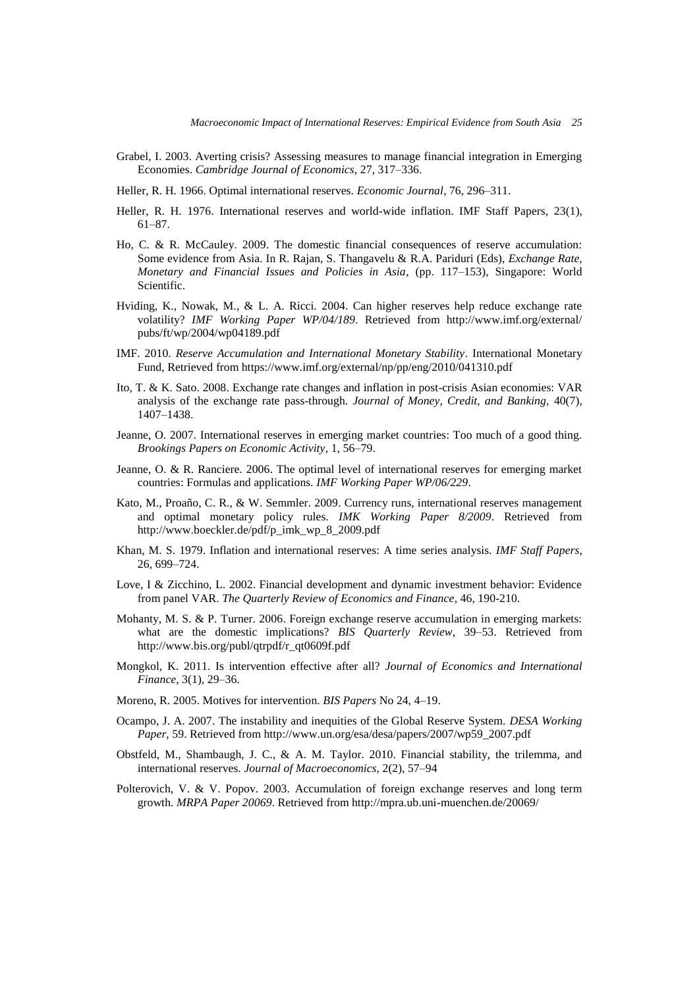- Grabel, I. 2003. Averting crisis? Assessing measures to manage financial integration in Emerging Economies. *Cambridge Journal of Economics*, 27, 317–336.
- Heller, R. H. 1966. Optimal international reserves. *Economic Journal*, 76, 296–311.
- Heller, R. H. 1976. International reserves and world-wide inflation. IMF Staff Papers, 23(1), 61–87.
- Ho, C. & R. McCauley. 2009. The domestic financial consequences of reserve accumulation: Some evidence from Asia. In R. Rajan, S. Thangavelu & R.A. Pariduri (Eds), *Exchange Rate, Monetary and Financial Issues and Policies in Asia*, (pp. 117–153), Singapore: World Scientific.
- Hviding, K., Nowak, M., & L. A. Ricci. 2004. Can higher reserves help reduce exchange rate volatility? *IMF Working Paper WP/04/189*. Retrieved from http://www.imf.org/external/ pubs/ft/wp/2004/wp04189.pdf
- IMF. 2010. *Reserve Accumulation and International Monetary Stability*. International Monetary Fund, Retrieved from https://www.imf.org/external/np/pp/eng/2010/041310.pdf
- Ito, T. & K. Sato. 2008. Exchange rate changes and inflation in post-crisis Asian economies: VAR analysis of the exchange rate pass-through. *Journal of Money, Credit, and Banking,* 40(7), 1407–1438.
- Jeanne, O. 2007. International reserves in emerging market countries: Too much of a good thing. *Brookings Papers on Economic Activity*, 1, 56–79.
- Jeanne, O. & R. Ranciere. 2006. The optimal level of international reserves for emerging market countries: Formulas and applications. *IMF Working Paper WP/06/229*.
- Kato, M., Proaño, C. R., & W. Semmler. 2009. Currency runs, international reserves management and optimal monetary policy rules. *IMK Working Paper 8/2009*. Retrieved from http://www.boeckler.de/pdf/p\_imk\_wp\_8\_2009.pdf
- Khan, M. S. 1979. Inflation and international reserves: A time series analysis. *IMF Staff Papers*, 26, 699–724.
- Love, I & Zicchino, L. 2002. Financial development and dynamic investment behavior: Evidence from panel VAR. *The Quarterly Review of Economics and Finance*, 46, 190-210.
- Mohanty, M. S. & P. Turner. 2006. Foreign exchange reserve accumulation in emerging markets: what are the domestic implications? *BIS Quarterly Review*, 39–53. Retrieved from http://www.bis.org/publ/qtrpdf/r\_qt0609f.pdf
- Mongkol, K. 2011. Is intervention effective after all? *Journal of Economics and International Finance*, 3(1), 29–36.
- Moreno, R. 2005. Motives for intervention. *BIS Papers* No 24, 4–19.
- Ocampo, J. A. 2007. The instability and inequities of the Global Reserve System. *DESA Working Paper*, 59. Retrieved from http://www.un.org/esa/desa/papers/2007/wp59\_2007.pdf
- Obstfeld, M., Shambaugh, J. C., & A. M. Taylor. 2010. Financial stability, the trilemma, and international reserves. *Journal of Macroeconomics*, 2(2), 57–94
- Polterovich, V. & V. Popov. 2003. Accumulation of foreign exchange reserves and long term growth. *MRPA Paper 20069*. Retrieved from http://mpra.ub.uni-muenchen.de/20069/